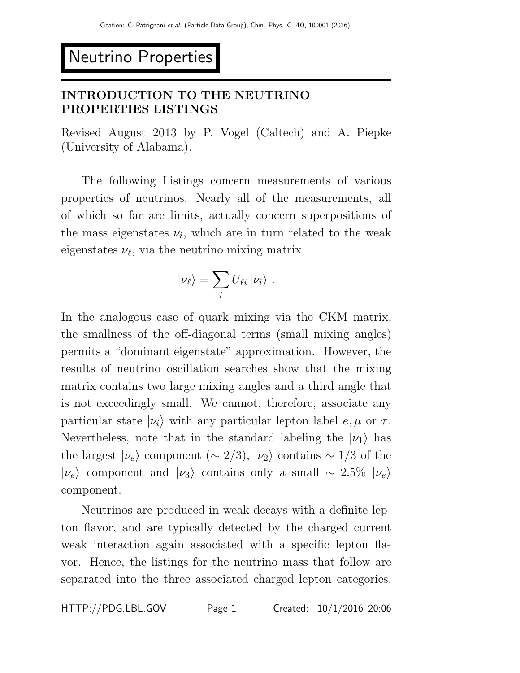# Neutrino Properties

# INTRODUCTION TO THE NEUTRINO PROPERTIES LISTINGS

Revised August 2013 by P. Vogel (Caltech) and A. Piepke (University of Alabama).

The following Listings concern measurements of various properties of neutrinos. Nearly all of the measurements, all of which so far are limits, actually concern superpositions of the mass eigenstates  $\nu_i$ , which are in turn related to the weak eigenstates  $\nu_{\ell}$ , via the neutrino mixing matrix

$$
|\nu_{\ell}\rangle = \sum_i U_{\ell i} |\nu_i\rangle.
$$

In the analogous case of quark mixing via the CKM matrix, the smallness of the off-diagonal terms (small mixing angles) permits a "dominant eigenstate" approximation. However, the results of neutrino oscillation searches show that the mixing matrix contains two large mixing angles and a third angle that is not exceedingly small. We cannot, therefore, associate any particular state  $|\nu_i\rangle$  with any particular lepton label  $e, \mu$  or  $\tau$ . Nevertheless, note that in the standard labeling the  $|\nu_1\rangle$  has the largest  $|\nu_e\rangle$  component ( $\sim$  2/3),  $|\nu_2\rangle$  contains  $\sim$  1/3 of the  $|\nu_e\rangle$  component and  $|\nu_3\rangle$  contains only a small ~ 2.5%  $|\nu_e\rangle$ component.

Neutrinos are produced in weak decays with a definite lepton flavor, and are typically detected by the charged current weak interaction again associated with a specific lepton flavor. Hence, the listings for the neutrino mass that follow are separated into the three associated charged lepton categories.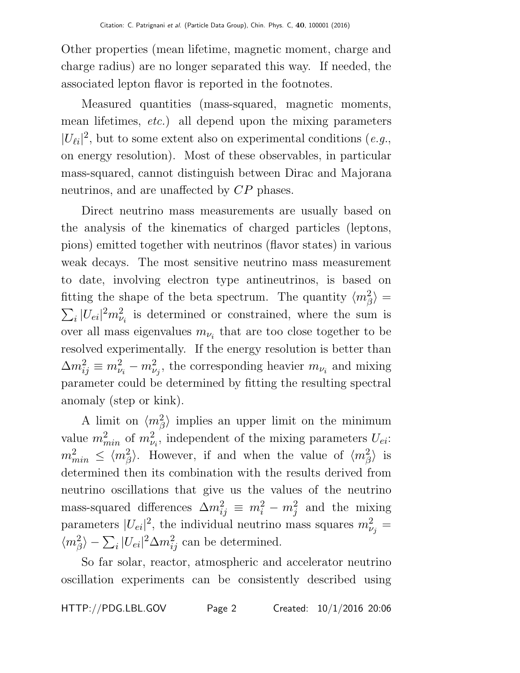Other properties (mean lifetime, magnetic moment, charge and charge radius) are no longer separated this way. If needed, the associated lepton flavor is reported in the footnotes.

Measured quantities (mass-squared, magnetic moments, mean lifetimes, etc.) all depend upon the mixing parameters  $|U_{\ell i}|^2$ , but to some extent also on experimental conditions (e.g., on energy resolution). Most of these observables, in particular mass-squared, cannot distinguish between Dirac and Majorana neutrinos, and are unaffected by  $CP$  phases.

Direct neutrino mass measurements are usually based on the analysis of the kinematics of charged particles (leptons, pions) emitted together with neutrinos (flavor states) in various weak decays. The most sensitive neutrino mass measurement to date, involving electron type antineutrinos, is based on fitting the shape of the beta spectrum. The quantity  $\langle m_{\beta}^2 \rangle =$  $\sum_{i} |U_{ei}|^2 m_{\nu_i}^2$  is determined or constrained, where the sum is over all mass eigenvalues  $m_{\nu_i}$  that are too close together to be resolved experimentally. If the energy resolution is better than  $\Delta m_{ij}^2 \equiv m_{\nu_i}^2 - m_{\nu_j}^2$ , the corresponding heavier  $m_{\nu_i}$  and mixing parameter could be determined by fitting the resulting spectral anomaly (step or kink).

A limit on  $\langle m_\beta^2 \rangle$  implies an upper limit on the minimum value  $m_{min}^2$  of  $m_{\nu_i}^2$ , independent of the mixing parameters  $U_{ei}$ :  $m_{min}^2 \leq \langle m_{\beta}^2 \rangle$ . However, if and when the value of  $\langle m_{\beta}^2 \rangle$  is determined then its combination with the results derived from neutrino oscillations that give us the values of the neutrino mass-squared differences  $\Delta m_{ij}^2 \equiv m_i^2 - m_j^2$  and the mixing parameters  $|U_{ei}|^2$ , the individual neutrino mass squares  $m_{\nu_j}^2 =$  $\langle m_{\beta}^2 \rangle - \sum_i |U_{ei}|^2 \Delta m_{ij}^2$  can be determined.

So far solar, reactor, atmospheric and accelerator neutrino oscillation experiments can be consistently described using

HTTP://PDG.LBL.GOV Page 2 Created: 10/1/2016 20:06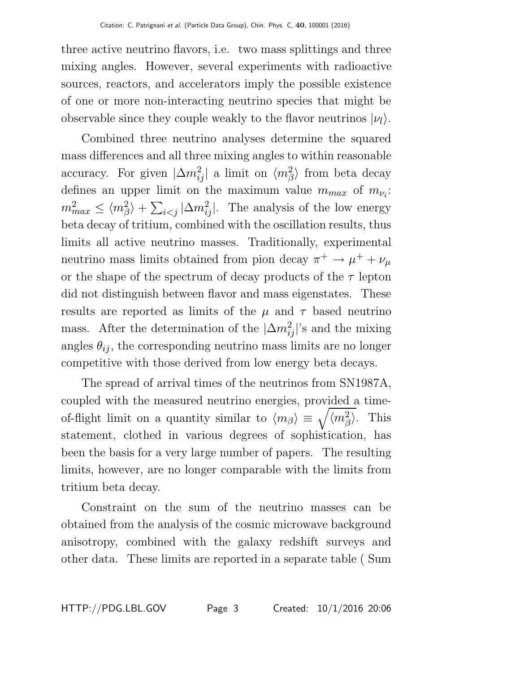three active neutrino flavors, i.e. two mass splittings and three mixing angles. However, several experiments with radioactive sources, reactors, and accelerators imply the possible existence of one or more non-interacting neutrino species that might be observable since they couple weakly to the flavor neutrinos  $|\nu_l\rangle$ .

Combined three neutrino analyses determine the squared mass differences and all three mixing angles to within reasonable accuracy. For given  $|\Delta m_{ij}^2|$  a limit on  $\langle m_{\beta}^2 \rangle$  from beta decay defines an upper limit on the maximum value  $m_{max}$  of  $m_{\nu_i}$ :  $m_{max}^2 \leq \langle m_{\beta}^2 \rangle + \sum_{i < j} |\Delta m_{ij}^2|$ . The analysis of the low energy beta decay of tritium, combined with the oscillation results, thus limits all active neutrino masses. Traditionally, experimental neutrino mass limits obtained from pion decay  $\pi^+ \to \mu^+ + \nu_\mu$ or the shape of the spectrum of decay products of the  $\tau$  lepton did not distinguish between flavor and mass eigenstates. These results are reported as limits of the  $\mu$  and  $\tau$  based neutrino mass. After the determination of the  $|\Delta m_{ij}^2|$ 's and the mixing angles  $\theta_{ij}$ , the corresponding neutrino mass limits are no longer competitive with those derived from low energy beta decays.

The spread of arrival times of the neutrinos from SN1987A, coupled with the measured neutrino energies, provided a timeof-flight limit on a quantity similar to  $\langle m_{\beta} \rangle \equiv \sqrt{\langle m_{\beta}^2 \rangle}$ . This statement, clothed in various degrees of sophistication, has been the basis for a very large number of papers. The resulting limits, however, are no longer comparable with the limits from tritium beta decay.

Constraint on the sum of the neutrino masses can be obtained from the analysis of the cosmic microwave background anisotropy, combined with the galaxy redshift surveys and other data. These limits are reported in a separate table ( Sum

HTTP://PDG.LBL.GOV Page 3 Created: 10/1/2016 20:06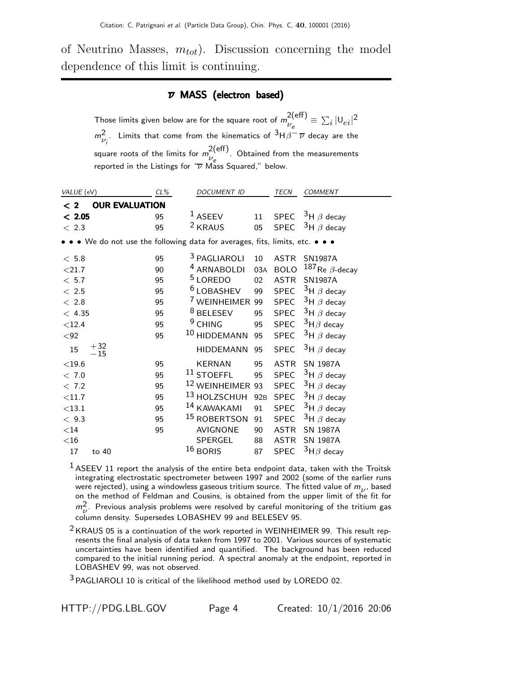of Neutrino Masses,  $m_{tot}$ ). Discussion concerning the model dependence of this limit is continuing.

#### $\overline{\nu}$  MASS (electron based)

Those limits given below are for the square root of  $m_{11}^{2(eff)}$  $v_e^{2(\text{eff})} \equiv \sum_i |U_{ei}|^2$  $m_{\nu_i}^2$ . Limits that come from the kinematics of  $^3$ H $\beta^- \overline{\nu}$  decay are the square roots of the limits for  $m^{2(\text{eff})}_{\mu}$  $v_e$  . Obtained from the measurements reported in the Listings for  $\sqrt{\nu}$  Mass Squared," below.

| VALUE (eV)                                                                    | CL% | <b>DOCUMENT ID</b>          |                 | TECN        | <b>COMMENT</b>          |
|-------------------------------------------------------------------------------|-----|-----------------------------|-----------------|-------------|-------------------------|
| <b>OUR EVALUATION</b><br>$\leq 2$                                             |     |                             |                 |             |                         |
| < 2.05                                                                        | 95  | $1$ ASEEV                   | 11              |             | SPEC $3H \beta$ decay   |
| < 2.3                                                                         | 95  | <sup>2</sup> KRAUS          | 05              | <b>SPEC</b> | $3H \beta$ decay        |
| • • • We do not use the following data for averages, fits, limits, etc. • • • |     |                             |                 |             |                         |
| < 5.8                                                                         | 95  | <sup>3</sup> PAGLIAROLI     | 10              | <b>ASTR</b> | <b>SN1987A</b>          |
| $<$ 21.7                                                                      | 90  | <sup>4</sup> ARNABOLDI      | 03A             | <b>BOLO</b> | $187$ Re $\beta$ -decay |
| < 5.7                                                                         | 95  | <sup>5</sup> LOREDO         | 02              | <b>ASTR</b> | <b>SN1987A</b>          |
| < 2.5                                                                         | 95  | <sup>6</sup> LOBASHEV       | 99              | <b>SPEC</b> | $3H \beta$ decay        |
| < 2.8                                                                         | 95  | <sup>7</sup> WEINHEIMER 99  |                 | <b>SPEC</b> | $3H \beta$ decay        |
| < 4.35                                                                        | 95  | <sup>8</sup> BELESEV        | 95              | <b>SPEC</b> | $3H \beta$ decay        |
| $<$ 12.4                                                                      | 95  | <sup>9</sup> CHING          | 95              | <b>SPEC</b> | $^3$ H $\beta$ decay    |
| $92$                                                                          | 95  | <sup>10</sup> HIDDEMANN     | 95              | <b>SPEC</b> | $3H \beta$ decay        |
| $+32$<br>$-15$<br>15                                                          |     | <b>HIDDEMANN</b>            | 95              | <b>SPEC</b> | $3H \beta$ decay        |
| $<$ 19.6                                                                      | 95  | <b>KERNAN</b>               | 95              | <b>ASTR</b> | <b>SN 1987A</b>         |
| < 7.0                                                                         | 95  | $11$ STOEFFL                | 95              | <b>SPEC</b> | $3H \beta$ decay        |
| < 7.2                                                                         | 95  | <sup>12</sup> WEINHEIMER 93 |                 | <b>SPEC</b> | $3H \beta$ decay        |
| $<$ 11.7                                                                      | 95  | <sup>13</sup> HOLZSCHUH     | 92 <sub>B</sub> | <b>SPEC</b> | $3H \beta$ decay        |
| $<$ 13.1                                                                      | 95  | 14 KAWAKAMI                 | 91              | <b>SPEC</b> | $3H \beta$ decay        |
| < 9.3                                                                         | 95  | <sup>15</sup> ROBERTSON     | 91              | <b>SPEC</b> | $3H \beta$ decay        |
| $<$ 14                                                                        | 95  | AVIGNONE                    | 90              | <b>ASTR</b> | <b>SN 1987A</b>         |
| $<$ 16                                                                        |     | <b>SPERGEL</b>              | 88              | <b>ASTR</b> | SN 1987A                |
| 17<br>to 40                                                                   |     | $16$ BORIS                  | 87              | <b>SPEC</b> | $3H\beta$ decay         |

 $<sup>1</sup>$  ASEEV 11 report the analysis of the entire beta endpoint data, taken with the Troitsk</sup> integrating electrostatic spectrometer between 1997 and 2002 (some of the earlier runs were rejected), using a windowless gaseous tritium source. The fitted value of  $m_{\nu}$ , based on the method of Feldman and Cousins, is obtained from the upper limit of the fit for  $m_V^2$ . Previous analysis problems were resolved by careful monitoring of the tritium gas column density. Supersedes LOBASHEV 99 and BELESEV 95.

 $2$  KRAUS 05 is a continuation of the work reported in WEINHEIMER 99. This result represents the final analysis of data taken from 1997 to 2001. Various sources of systematic uncertainties have been identified and quantified. The background has been reduced compared to the initial running period. A spectral anomaly at the endpoint, reported in LOBASHEV 99, was not observed.

3 PAGLIAROLI 10 is critical of the likelihood method used by LOREDO 02.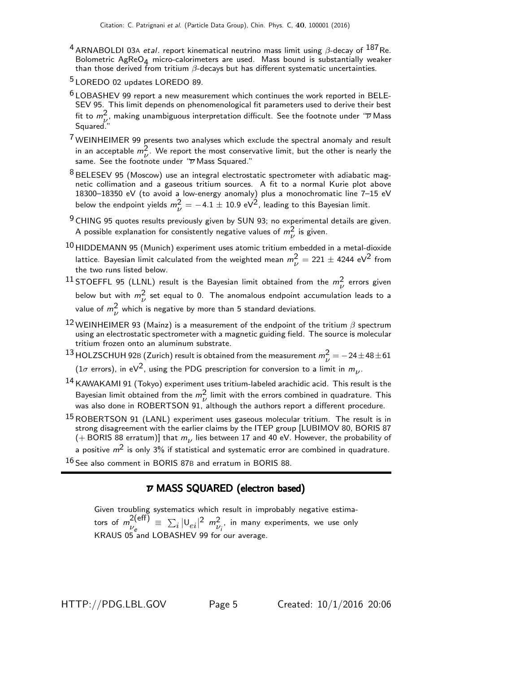- <sup>4</sup> ARNABOLDI 03A etal. report kinematical neutrino mass limit using  $\beta$ -decay of  $^{187}$ Re. Bolometric  $AgReO_4$  micro-calorimeters are used. Mass bound is substantially weaker than those derived from tritium  $\beta$ -decays but has different systematic uncertainties.
- 5 LOREDO 02 updates LOREDO 89.
- $6$  LOBASHEV 99 report a new measurement which continues the work reported in BELE-SEV 95. This limit depends on phenomenological fit parameters used to derive their best fit to  $m_{\nu}^2$ , making unambiguous interpretation difficult. See the footnote under " $\overline{\nu}$  Mass Squared."
- $7$  WEINHEIMER 99 presents two analyses which exclude the spectral anomaly and result in an acceptable  $m^2$ . We report the most conservative limit, but the other is nearly the same. See the footnote under " $\overline{\nu}$  Mass Squared."
- <sup>8</sup> BELESEV 95 (Moscow) use an integral electrostatic spectrometer with adiabatic magnetic collimation and a gaseous tritium sources. A fit to a normal Kurie plot above 18300–18350 eV (to avoid a low-energy anomaly) plus a monochromatic line 7–15 eV below the endpoint yields  $m_{\nu}^2 = -4.1 \pm 10.9 \; \text{eV}^2$ , leading to this Bayesian limit.
- <sup>9</sup> CHING 95 quotes results previously given by SUN 93; no experimental details are given. A possible explanation for consistently negative values of  $m_{\nu}^{2}$  is given.
- $^{10}$ HIDDEMANN 95 (Munich) experiment uses atomic tritium embedded in a metal-dioxide lattice. Bayesian limit calculated from the weighted mean  $m_{\nu}^2 = 221 \pm 4244 \text{ eV}^2$  from the two runs listed below.
- <sup>11</sup> STOEFFL 95 (LLNL) result is the Bayesian limit obtained from the  $m_{\nu}^{2}$  errors given below but with  $m_{\nu}^2$  set equal to 0. The anomalous endpoint accumulation leads to a value of  $m_{\nu}^2$  which is negative by more than 5 standard deviations.
- 12 WEINHEIMER 93 (Mainz) is a measurement of the endpoint of the tritium  $\beta$  spectrum using an electrostatic spectrometer with a magnetic guiding field. The source is molecular tritium frozen onto an aluminum substrate.
- 13 HOLZSCHUH 92B (Zurich) result is obtained from the measurement  $m_{\nu}^{2} = -24 \pm 48 \pm 61$ (1 $\sigma$  errors), in eV<sup>2</sup>, using the PDG prescription for conversion to a limit in  $m_{\nu}$ .
- 14 KAWAKAMI 91 (Tokyo) experiment uses tritium-labeled arachidic acid. This result is the Bayesian limit obtained from the  $m_\nu^2$  limit with the errors combined in quadrature. This was also done in ROBERTSON 91, although the authors report a different procedure.
- 15 ROBERTSON 91 (LANL) experiment uses gaseous molecular tritium. The result is in strong disagreement with the earlier claims by the ITEP group [LUBIMOV 80, BORIS 87 (+BORIS 88 erratum)] that  $m_{\nu}$  lies between 17 and 40 eV. However, the probability of a positive  $m^2$  is only 3% if statistical and systematic error are combined in quadrature.
- 
- 16 See also comment in BORIS 87B and erratum in BORIS 88.

#### ν MASS SQUARED (electron based)

Given troubling systematics which result in improbably negative estimators of  $m_{11}^{2(\text{eff})}$  $\frac{2(\mathsf{eff})}{\nu_e}\,\equiv\,\sum_i|\mathsf{U}_{ei}|^2\,\,m_{\nu_i^{\,-}}^2$  in many experiments, we use only KRAUS 05 and LOBASHEV 99 for our average.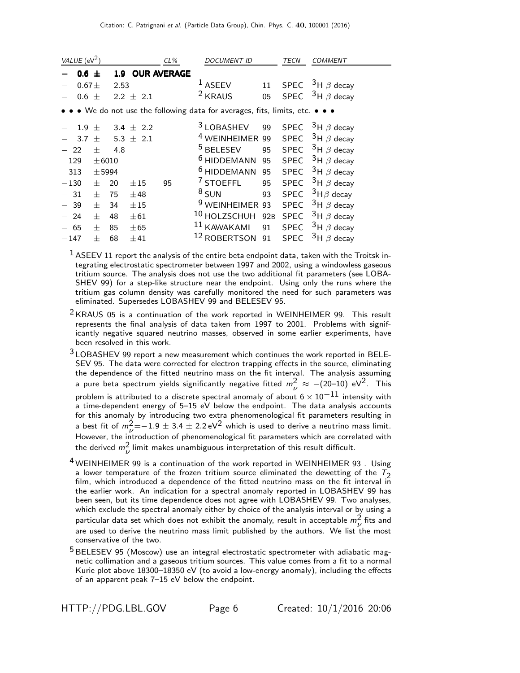| VALUE ( $eV^2$ ) |                                                                               |      |               | $CL\%$                 | <i>DOCUMENT ID</i>         |                 | TECN        | <i>COMMENT</i>   |  |  |
|------------------|-------------------------------------------------------------------------------|------|---------------|------------------------|----------------------------|-----------------|-------------|------------------|--|--|
|                  | $0.6 \pm$                                                                     |      |               | <b>1.9 OUR AVERAGE</b> |                            |                 |             |                  |  |  |
|                  | 0.67 <sub>±</sub>                                                             | 2.53 |               |                        | <sup>1</sup> ASEEV         | 11              | <b>SPEC</b> | $3H \beta$ decay |  |  |
|                  | $0.6 \pm$                                                                     |      | $2.2 \pm 2.1$ |                        | <sup>2</sup> KRAUS         | 05              | <b>SPEC</b> | $3H \beta$ decay |  |  |
|                  | • • • We do not use the following data for averages, fits, limits, etc. • • • |      |               |                        |                            |                 |             |                  |  |  |
| 1.9              | $^{+}$                                                                        |      | 3.4 $\pm$ 2.2 |                        | <sup>3</sup> LOBASHEV      | 99              | <b>SPEC</b> | $3H \beta$ decay |  |  |
| 3.7              | 士                                                                             |      | 5.3 $\pm$ 2.1 |                        | <sup>4</sup> WEINHEIMER    | 99              | <b>SPEC</b> | $3H \beta$ decay |  |  |
| 22               | $^{+}$                                                                        | 4.8  |               |                        | <sup>5</sup> BELESEV       | 95              | <b>SPEC</b> | $3H \beta$ decay |  |  |
| 129              | $\pm 6010$                                                                    |      |               |                        | <sup>6</sup> HIDDEMANN     | 95              | <b>SPEC</b> | $3H \beta$ decay |  |  |
| 313              | $±$ 5994                                                                      |      |               |                        | <sup>6</sup> HIDDEMANN     | 95              | <b>SPEC</b> | $3H \beta$ decay |  |  |
| $-130$           | $^{+}$                                                                        | 20   | ±15           | 95                     | $7$ STOEFFL                | 95              | <b>SPEC</b> | $3H \beta$ decay |  |  |
| 31               | $^{+}$                                                                        | 75   | ±48           |                        | $8$ SUN                    | 93              | <b>SPEC</b> | $3H\beta$ decay  |  |  |
| 39               | $^{+}$                                                                        | 34   | $\pm 15$      |                        | <sup>9</sup> WEINHEIMER 93 |                 | <b>SPEC</b> | $3H \beta$ decay |  |  |
| 24               | $+$                                                                           | 48   | $\pm 61$      |                        | 10 HOLZSCHUH               | 92 <sub>B</sub> | <b>SPEC</b> | $3H \beta$ decay |  |  |
| 65               | 士                                                                             | 85   | $\pm 65$      |                        | 11 KAWAKAMI                | 91              | <b>SPEC</b> | $3H \beta$ decay |  |  |
| $-147$           | $^+$                                                                          | 68   | $+41$         |                        | 12 ROBERTSON               | 91              | <b>SPEC</b> | $3H \beta$ decay |  |  |

 $<sup>1</sup>$  ASEEV 11 report the analysis of the entire beta endpoint data, taken with the Troitsk in-</sup> tegrating electrostatic spectrometer between 1997 and 2002, using a windowless gaseous tritium source. The analysis does not use the two additional fit parameters (see LOBA-SHEV 99) for a step-like structure near the endpoint. Using only the runs where the tritium gas column density was carefully monitored the need for such parameters was eliminated. Supersedes LOBASHEV 99 and BELESEV 95.

 $2$  KRAUS 05 is a continuation of the work reported in WEINHEIMER 99. This result represents the final analysis of data taken from 1997 to 2001. Problems with significantly negative squared neutrino masses, observed in some earlier experiments, have been resolved in this work.

<sup>3</sup> LOBASHEV 99 report a new measurement which continues the work reported in BELE-SEV 95. The data were corrected for electron trapping effects in the source, eliminating the dependence of the fitted neutrino mass on the fit interval. The analysis assuming a pure beta spectrum yields significantly negative fitted  $m_{\nu}^2 \approx -(20\text{--}10) \text{ eV}^2$ . This problem is attributed to a discrete spectral anomaly of about  $6 \times 10^{-11}$  intensity with a time-dependent energy of 5–15 eV below the endpoint. The data analysis accounts for this anomaly by introducing two extra phenomenological fit parameters resulting in a best fit of  $m_\nu^2 = -1.9 \pm 3.4 \pm 2.2 \,\text{eV}^2$  which is used to derive a neutrino mass limit. However, the introduction of phenomenological fit parameters which are correlated with the derived  $m_{\nu}^{2}$  limit makes unambiguous interpretation of this result difficult.

- <sup>4</sup> WEINHEIMER 99 is a continuation of the work reported in WEINHEIMER 93. Using a lower temperature of the frozen tritium source eliminated the dewetting of the  $T_2$ film, which introduced a dependence of the fitted neutrino mass on the fit interval in the earlier work. An indication for a spectral anomaly reported in LOBASHEV 99 has been seen, but its time dependence does not agree with LOBASHEV 99. Two analyses, which exclude the spectral anomaly either by choice of the analysis interval or by using a particular data set which does not exhibit the anomaly, result in acceptable  $m^2$  fits and are used to derive the neutrino mass limit published by the authors. We list the most conservative of the two.
- <sup>5</sup> BELESEV 95 (Moscow) use an integral electrostatic spectrometer with adiabatic magnetic collimation and a gaseous tritium sources. This value comes from a fit to a normal Kurie plot above 18300–18350 eV (to avoid a low-energy anomaly), including the effects of an apparent peak 7–15 eV below the endpoint.

HTTP://PDG.LBL.GOV Page 6 Created: 10/1/2016 20:06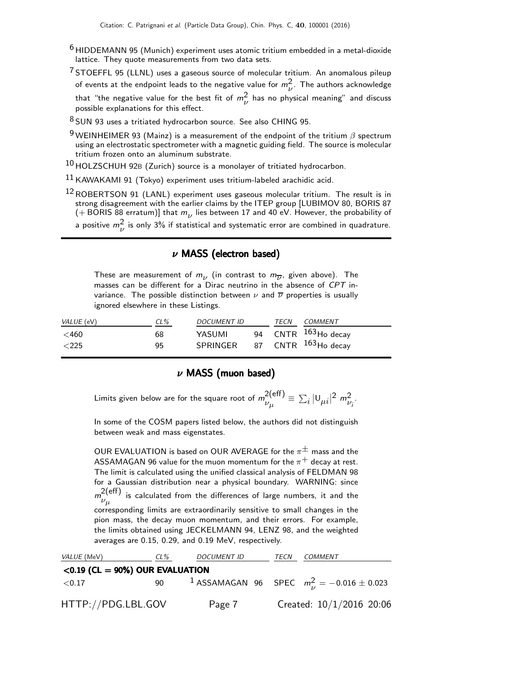- <sup>6</sup> HIDDEMANN 95 (Munich) experiment uses atomic tritium embedded in a metal-dioxide lattice. They quote measurements from two data sets.
- <sup>7</sup> STOEFFL 95 (LLNL) uses a gaseous source of molecular tritium. An anomalous pileup of events at the endpoint leads to the negative value for  $m_{\nu}^{2}$ . The authors acknowledge that "the negative value for the best fit of  $m_{\nu}^{2}$  has no physical meaning" and discuss possible explanations for this effect.

 $8$  SUN 93 uses a tritiated hydrocarbon source. See also CHING 95.

<sup>9</sup> WEINHEIMER 93 (Mainz) is a measurement of the endpoint of the tritium  $\beta$  spectrum using an electrostatic spectrometer with a magnetic guiding field. The source is molecular tritium frozen onto an aluminum substrate.

 $10$  HOLZSCHUH 92B (Zurich) source is a monolayer of tritiated hydrocarbon.

 $11$  KAWAKAMI 91 (Tokyo) experiment uses tritium-labeled arachidic acid.

 $12$  ROBERTSON 91 (LANL) experiment uses gaseous molecular tritium. The result is in strong disagreement with the earlier claims by the ITEP group [LUBIMOV 80, BORIS 87 (+BORIS 88 erratum)] that  $m_{\nu}$  lies between 17 and 40 eV. However, the probability of a positive  $m_{\nu}^2$  is only 3% if statistical and systematic error are combined in quadrature.

## $\nu$  MASS (electron based)

These are measurement of  $m_{\nu}$  (in contrast to  $m_{\overline{\nu}}$ , given above). The masses can be different for a Dirac neutrino in the absence of CPT invariance. The possible distinction between  $\nu$  and  $\overline{\nu}$  properties is usually ignored elsewhere in these Listings.

| VALUE (eV)             | $CL\%$   | <i>DOCUMENT ID</i>                     | <b>TECN</b> | COMMENT                         |
|------------------------|----------|----------------------------------------|-------------|---------------------------------|
| $<$ 460 $<$<br>$<$ 225 | 68<br>95 | YASUMI<br>SPRINGER 87 CNTR 163Ho decay |             | 94 CNTR <sup>163</sup> Ho decay |

#### $\nu$  MASS (muon based)

Limits given below are for the square root of  $m^{2(eff)}$ .  $v_{\mu}^{2\text{(eff)}} \equiv \sum_i |v_{\mu i}|^2 m_{\nu_i}^2$ .

In some of the COSM papers listed below, the authors did not distinguish between weak and mass eigenstates.

OUR EVALUATION is based on OUR AVERAGE for the  $\pi^{\pm}$  mass and the ASSAMAGAN 96 value for the muon momentum for the  $\pi^{+}$  decay at rest. The limit is calculated using the unified classical analysis of FELDMAN 98 for a Gaussian distribution near a physical boundary. WARNING: since  $m^{2(\text{eff})}_{\ldots}$  $\nu_\mu$  is calculated from the differences of large numbers, it and the corresponding limits are extraordinarily sensitive to small changes in the pion mass, the decay muon momentum, and their errors. For example, the limits obtained using JECKELMANN 94, LENZ 98, and the weighted averages are 0.15, 0.29, and 0.19 MeV, respectively.

| <i>VALUE</i> (MeV)                 | CL% | <b>DOCUMENT ID</b> |  | <i>COMMENT</i>                                                |  |  |
|------------------------------------|-----|--------------------|--|---------------------------------------------------------------|--|--|
| $<$ 0.19 (CL = 90%) OUR EVALUATION |     |                    |  |                                                               |  |  |
| $<$ 0.17                           | 90  |                    |  | <sup>1</sup> ASSAMAGAN 96 SPEC $m_{\nu}^2 = -0.016 \pm 0.023$ |  |  |
| HTTP://PDG.LBL.GOV                 |     | Page 7             |  | Created: $10/1/2016$ 20:06                                    |  |  |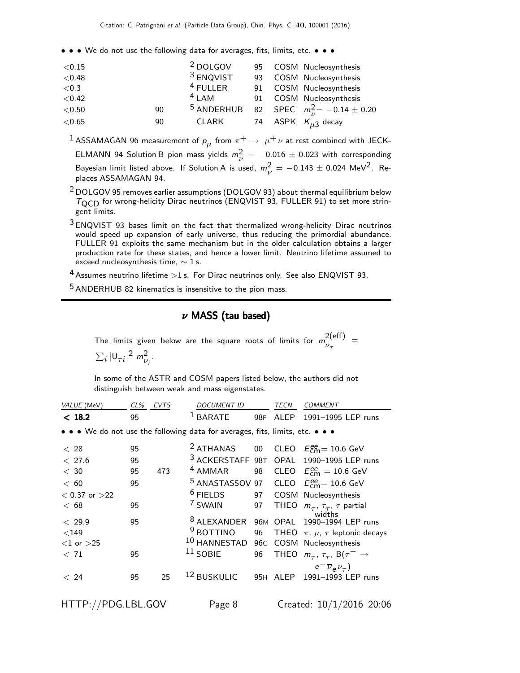• • • We do not use the following data for averages, fits, limits, etc. • • •

| < 0.15   |    | <sup>2</sup> DOLGOV   |    | 95 COSM Nucleosynthesis              |
|----------|----|-----------------------|----|--------------------------------------|
| < 0.48   |    | <sup>3</sup> ENQVIST  | 93 | COSM Nucleosynthesis                 |
| ${<}0.3$ |    | $4$ FULLER            |    | 91 COSM Nucleosynthesis              |
| < 0.42   |    | $4$ LAM               |    | 91 COSM Nucleosynthesis              |
| < 0.50   | 90 | <sup>5</sup> ANDERHUB |    | 82 SPEC $m_{1}^{2} = -0.14 \pm 0.20$ |
| < 0.65   | 90 | CLARK                 |    | 74 ASPK $K_{\mu 3}$ decay            |
|          |    |                       |    |                                      |

 $^1$ ASSAMAGAN 96 measurement of  $\rho_{\mu}$  from  $\pi^+ \rightarrow \ \mu^+ \nu$  at rest combined with JECK-ELMANN 94 Solution B pion mass yields  $m_{\nu}^2 = -0.016 \pm 0.023$  with corresponding Bayesian limit listed above. If Solution A is used,  $m_{\nu}^2 = -0.143 \pm 0.024$  MeV<sup>2</sup>. Replaces ASSAMAGAN 94.

2 DOLGOV 95 removes earlier assumptions (DOLGOV 93) about thermal equilibrium below  $T<sub>QCD</sub>$  for wrong-helicity Dirac neutrinos (ENQVIST 93, FULLER 91) to set more stringent limits.

 $3$  ENQVIST 93 bases limit on the fact that thermalized wrong-helicity Dirac neutrinos would speed up expansion of early universe, thus reducing the primordial abundance. FULLER 91 exploits the same mechanism but in the older calculation obtains a larger production rate for these states, and hence a lower limit. Neutrino lifetime assumed to exceed nucleosynthesis time,  $\sim$  1 s.

 $4$  Assumes neutrino lifetime  $>1$  s. For Dirac neutrinos only. See also ENQVIST 93.

5 ANDERHUB 82 kinematics is insensitive to the pion mass.

#### $\nu$  MASS (tau based)

The limits given below are the square roots of limits for  $m_{11}^{2(eff)}$  $v_{\tau}$  =  $\sum_i |\mathsf{U}_{\tau i}|^2 \; m_{\nu_i}^2.$ 

In some of the ASTR and COSM papers listed below, the authors did not distinguish between weak and mass eigenstates.

| VALUE (MeV)        | CL% | <b>EVTS</b> | <b>DOCUMENT ID</b>                                                            |    | TECN     | <b>COMMENT</b>                                                |
|--------------------|-----|-------------|-------------------------------------------------------------------------------|----|----------|---------------------------------------------------------------|
| < 18.2             | 95  |             | <b>BARATE</b>                                                                 |    | 98F ALEP | 1991-1995 LEP runs                                            |
|                    |     |             | • • • We do not use the following data for averages, fits, limits, etc. • • • |    |          |                                                               |
| < 28               | 95  |             |                                                                               |    |          | <sup>2</sup> ATHANAS 00 CLEO $E_{\text{cm}}^{ee}$ = 10.6 GeV  |
| < 27.6             | 95  |             |                                                                               |    |          | 3 ACKERSTAFF 98T OPAL 1990-1995 LEP runs                      |
| < 30               | 95  | 473         | $4$ AMMAR                                                                     |    |          | 98 CLEO $E_{\text{cm}}^{ee} = 10.6 \text{ GeV}$               |
| < 60               | 95  |             | <sup>5</sup> ANASTASSOV 97                                                    |    |          | CLEO $E_{\text{cm}}^{ee} = 10.6 \text{ GeV}$                  |
| $< 0.37$ or $>22$  |     |             | $6$ FIELDS                                                                    |    |          | 97 COSM Nucleosynthesis                                       |
| < 68               | 95  |             | <sup>7</sup> SWAIN                                                            |    |          | 97 THEO $m_{\tau}$ , $\tau_{\tau}$ , $\tau$ partial<br>widths |
| < 29.9             | 95  |             | <sup>8</sup> ALEXANDER                                                        |    |          | 96M OPAL 1990-1994 LEP runs                                   |
| $<$ 149            |     |             | $9$ BOTTINO                                                                   | 96 |          | THEO $\pi$ , $\mu$ , $\tau$ leptonic decays                   |
| $<$ 1 or $>$ 25    |     |             | 10 HANNESTAD 96C COSM Nucleosynthesis                                         |    |          |                                                               |
| < 71               | 95  |             | $11$ SOBIE                                                                    | 96 |          | THEO $m_{\tau}$ , $\tau_{\tau}$ , B( $\tau^{-} \rightarrow$   |
|                    |     |             |                                                                               |    |          | $e^{-}\overline{\nu}_{e}\nu_{\tau}$                           |
| < 24               | 95  | 25          | <sup>12</sup> BUSKULIC                                                        |    |          | 95H ALEP 1991-1993 LEP runs                                   |
| HTTP://PDG.LBL.GOV |     |             | Page 8                                                                        |    |          | Created: 10/1/2016 20:06                                      |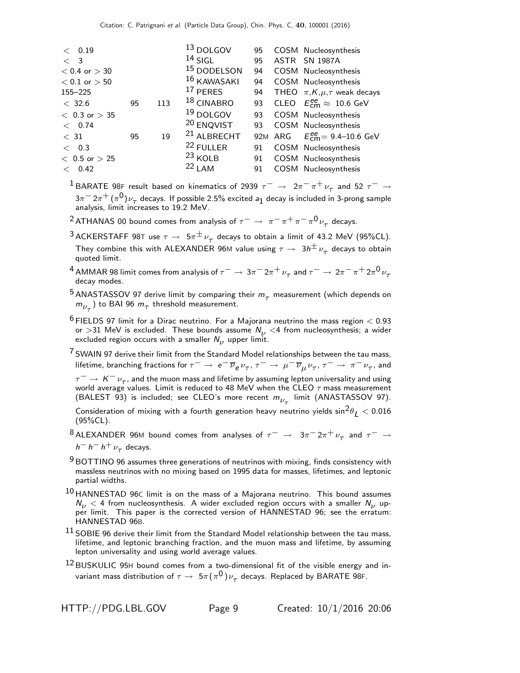| < 0.19            |    |     | 13 DOLGOV              | 95 | COSM Nucleosynthesis                                      |
|-------------------|----|-----|------------------------|----|-----------------------------------------------------------|
| $\langle$ 3       |    |     | $14$ SIGL              | 95 | ASTR SN 1987A                                             |
| $< 0.4$ or $> 30$ |    |     | 15 DODELSON            | 94 | COSM Nucleosynthesis                                      |
| $< 0.1$ or $> 50$ |    |     | 16 KAWASAKI            | 94 | COSM Nucleosynthesis                                      |
| $155 - 225$       |    |     | $17$ PERES             | 94 | THEO $\pi$ , K, $\mu$ , $\tau$ weak decays                |
| < 32.6            | 95 | 113 | $18$ CINABRO           | 93 | CLEO $E_{\text{cm}}^{\text{ee}} \approx 10.6 \text{ GeV}$ |
| $< 0.3$ or $> 35$ |    |     | $19$ DOLGOV            | 93 | COSM Nucleosynthesis                                      |
| < 0.74            |    |     | <sup>20</sup> ENQVIST  | 93 | COSM Nucleosynthesis                                      |
| < 31              | 95 | 19  | <sup>21</sup> ALBRECHT |    | 92M ARG $E_{\text{cm}}^{ee} = 9.4 - 10.6 \text{ GeV}$     |
| < 0.3             |    |     | <sup>22</sup> FULLER   | 91 | COSM Nucleosynthesis                                      |
| $< 0.5$ or $> 25$ |    |     | $23$ KOLB              | 91 | COSM Nucleosynthesis                                      |
| 0.42              |    |     | $22$ LAM               | 91 | COSM Nucleosynthesis                                      |
|                   |    |     |                        |    |                                                           |

<sup>1</sup> BARATE 98F result based on kinematics of 2939  $\tau^ \rightarrow$   $2\pi^- \pi^+ \nu_\tau$  and 52  $\tau^ \rightarrow$  $3\pi^{-} 2\pi^{+} (\pi^{0}) \nu_{\tau}$  decays. If possible 2.5% excited  $s_{1}$  decay is included in 3-prong sample analysis, limit increases to 19.2 MeV.

 $^2$ ATHANAS 00 bound comes from analysis of  $\tau^-\rightarrow~\pi^-\,\pi^+\,\pi^-\,\pi^0\,\nu_\tau^{}$  decays.

 $^3$ ACKERSTAFF 98T use  $\tau\to\;5\pi^\pm\nu_\tau^{}$  decays to obtain a limit of 43.2 MeV (95%CL). They combine this with ALEXANDER 96M value using  $\tau \to 3h^{\pm} \nu_{\tau}$  decays to obtain quoted limit.

 $^4$  AMMAR 98 limit comes from analysis of  $\tau^-\to 3\pi^-2\pi^+\nu_\tau$  and  $\tau^-\to 2\pi^-\pi^+2\pi^0\overline{\nu}_\tau$ decay modes.

<sup>5</sup> ANASTASSOV 97 derive limit by comparing their  $m_\tau$  measurement (which depends on  $m_{\nu_{\tau}}$ ) to BAI 96  $m_{\tau}$  threshold measurement.

 $^6$  FIELDS 97 limit for a Dirac neutrino. For a Majorana neutrino the mass region  $<$  0.93 or >31 MeV is excluded. These bounds assume  $N_{1/2}$  <4 from nucleosynthesis; a wider excluded region occurs with a smaller  $N_{\nu}$  upper limit.

 $7$  SWAIN 97 derive their limit from the Standard Model relationships between the tau mass, lifetime, branching fractions for  $\tau^-\to~e^-\overline\nu_e\nu_\tau,~\tau^-\to~\mu^-\overline\nu_\mu\nu_\tau,~\tau^-\to~\pi^-\nu_\tau,$  and  $\tau^-\to K^-\nu_\tau$ , and the muon mass and lifetime by assuming lepton universality and using

world average values. Limit is reduced to 48 MeV when the CLEO  $\tau$  mass measurement (BALEST 93) is included; see CLEO's more recent  $m_{\nu_{\tau}}$  limit (ANASTASSOV 97).

Consideration of mixing with a fourth generation heavy neutrino yields  $\sin^2\theta_I < 0.016$  $(95%CL)$ .

 $^8$ ALEXANDER 96M bound comes from analyses of  $\tau^-\;\rightarrow\;\;3\pi^-2\pi^+\,\nu_\tau$  and  $\tau^-\;\rightarrow\;$  $h^- h^- h^+ \nu_\tau$  decays.

 $9$  BOTTINO 96 assumes three generations of neutrinos with mixing, finds consistency with massless neutrinos with no mixing based on 1995 data for masses, lifetimes, and leptonic partial widths.

- $10$  HANNESTAD 96C limit is on the mass of a Majorana neutrino. This bound assumes  $N_{\nu}$  < 4 from nucleosynthesis. A wider excluded region occurs with a smaller  $N_{\nu}$  upper limit. This paper is the corrected version of HANNESTAD 96; see the erratum: HANNESTAD 96B.
- $^{11}$  SOBIE 96 derive their limit from the Standard Model relationship between the tau mass, lifetime, and leptonic branching fraction, and the muon mass and lifetime, by assuming lepton universality and using world average values.
- 12 BUSKULIC 95<sup>H</sup> bound comes from a two-dimensional fit of the visible energy and invariant mass distribution of  $\tau\to\,5\pi(\pi^0)\nu_\tau$  decays. Replaced by BARATE 98F.

HTTP://PDG.LBL.GOV Page 9 Created: 10/1/2016 20:06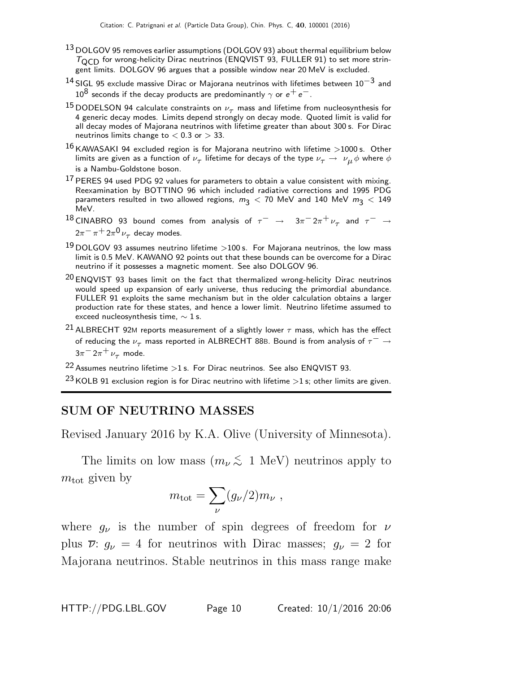- <sup>13</sup> DOLGOV 95 removes earlier assumptions (DOLGOV 93) about thermal equilibrium below  $T<sub>QCD</sub>$  for wrong-helicity Dirac neutrinos (ENQVIST 93, FULLER 91) to set more stringent limits. DOLGOV 96 argues that a possible window near 20 MeV is excluded.
- <sup>14</sup> SIGL 95 exclude massive Dirac or Majorana neutrinos with lifetimes between 10<sup>-3</sup> and  $10^8$  seconds if the decay products are predominantly  $\gamma$  or  $e^+e^-$ .
- <sup>15</sup> DODELSON 94 calculate constraints on  $\nu_{\tau}$  mass and lifetime from nucleosynthesis for 4 generic decay modes. Limits depend strongly on decay mode. Quoted limit is valid for all decay modes of Majorana neutrinos with lifetime greater than about 300 s. For Dirac neutrinos limits change to  $< 0.3$  or  $> 33$ .
- $16$  KAWASAKI 94 excluded region is for Majorana neutrino with lifetime  $>$ 1000 s. Other limits are given as a function of  $\nu_\tau$  lifetime for decays of the type  $\nu_\tau\to~\nu_\mu\phi$  where  $\phi$ is a Nambu-Goldstone boson.
- $17$  PERES 94 used PDG 92 values for parameters to obtain a value consistent with mixing. Reexamination by BOTTINO 96 which included radiative corrections and 1995 PDG parameters resulted in two allowed regions,  $m_3 < 70$  MeV and 140 MeV  $m_3 < 149$ MeV.
- $^{18}$  CINABRO 93 bound comes from analysis of  $\tau^-\rightarrow\;\;\;3\pi^-2\pi^+\,\nu_\tau$  and  $\tau^-\rightarrow\;$  $2\pi^-\pi^+2\pi^0\,\nu_\tau$  decay modes.
- $^{19}$  DOLGOV 93 assumes neutrino lifetime  $>$ 100 s. For Majorana neutrinos, the low mass limit is 0.5 MeV. KAWANO 92 points out that these bounds can be overcome for a Dirac neutrino if it possesses a magnetic moment. See also DOLGOV 96.
- $20$  ENQVIST 93 bases limit on the fact that thermalized wrong-helicity Dirac neutrinos would speed up expansion of early universe, thus reducing the primordial abundance. FULLER 91 exploits the same mechanism but in the older calculation obtains a larger production rate for these states, and hence a lower limit. Neutrino lifetime assumed to exceed nucleosynthesis time,  $\sim$  1 s.
- <sup>21</sup> ALBRECHT 92M reports measurement of a slightly lower  $\tau$  mass, which has the effect of reducing the  $\nu_{\tau}$  mass reported in ALBRECHT 88B. Bound is from analysis of  $\tau^{-} \rightarrow$  $3\pi$ <sup>-</sup>  $2\pi$ <sup>+</sup>  $\nu$ <sub>τ</sub> mode.

 $22$  Assumes neutrino lifetime  $>1$  s. For Dirac neutrinos. See also ENQVIST 93.

<sup>23</sup> KOLB 91 exclusion region is for Dirac neutrino with lifetime  $>1$  s; other limits are given.

# SUM OF NEUTRINO MASSES

Revised January 2016 by K.A. Olive (University of Minnesota).

The limits on low mass  $(m_\nu \lesssim 1 \text{ MeV})$  neutrinos apply to  $m_{\rm tot}$  given by

$$
m_{\rm tot} = \sum_{\nu} (g_{\nu}/2) m_{\nu} ,
$$

where  $g_{\nu}$  is the number of spin degrees of freedom for  $\nu$ plus  $\overline{\nu}$ :  $g_{\nu} = 4$  for neutrinos with Dirac masses;  $g_{\nu} = 2$  for Majorana neutrinos. Stable neutrinos in this mass range make

HTTP://PDG.LBL.GOV Page 10 Created: 10/1/2016 20:06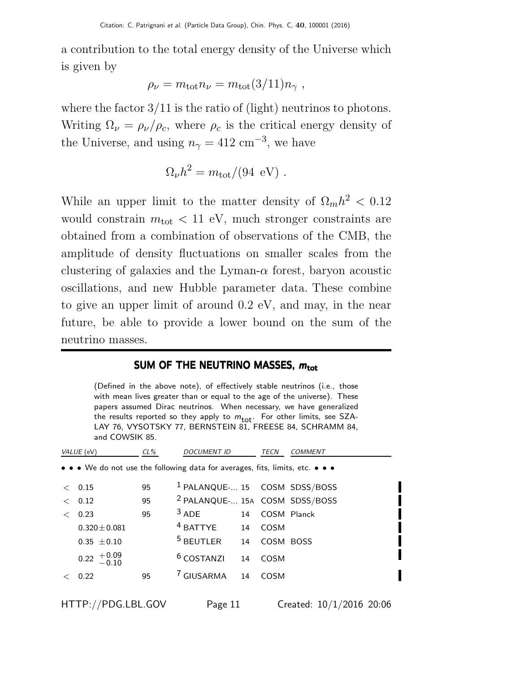a contribution to the total energy density of the Universe which is given by

$$
\rho_{\nu} = m_{\rm tot} n_{\nu} = m_{\rm tot} (3/11) n_{\gamma} ,
$$

where the factor  $3/11$  is the ratio of (light) neutrinos to photons. Writing  $\Omega_{\nu} = \rho_{\nu}/\rho_c$ , where  $\rho_c$  is the critical energy density of the Universe, and using  $n_{\gamma} = 412 \text{ cm}^{-3}$ , we have

$$
\Omega_{\nu}h^2 = m_{\rm tot}/(94~\rm eV) \ .
$$

While an upper limit to the matter density of  $\Omega_m h^2 < 0.12$ would constrain  $m_{\text{tot}} < 11$  eV, much stronger constraints are obtained from a combination of observations of the CMB, the amplitude of density fluctuations on smaller scales from the clustering of galaxies and the Lyman- $\alpha$  forest, baryon acoustic oscillations, and new Hubble parameter data. These combine to give an upper limit of around 0.2 eV, and may, in the near future, be able to provide a lower bound on the sum of the neutrino masses.

#### SUM OF THE NEUTRINO MASSES,  $m_{\text{tot}}$

(Defined in the above note), of effectively stable neutrinos (i.e., those with mean lives greater than or equal to the age of the universe). These papers assumed Dirac neutrinos. When necessary, we have generalized the results reported so they apply to  $m_{\text{tot}}$ . For other limits, see SZA-LAY 76, VYSOTSKY 77, BERNSTEIN 81, FREESE 84, SCHRAMM 84, and COWSIK 85.

|       | VALUE (eV)                                                                                                            | $CL\%$ | <b>DOCUMENT ID</b>                        |    | TECN        | <b>COMMENT</b> |
|-------|-----------------------------------------------------------------------------------------------------------------------|--------|-------------------------------------------|----|-------------|----------------|
|       | $\bullet \bullet \bullet$ We do not use the following data for averages, fits, limits, etc. $\bullet \bullet \bullet$ |        |                                           |    |             |                |
|       | < 0.15                                                                                                                | 95     | <sup>1</sup> PALANQUE- 15 COSM SDSS/BOSS  |    |             |                |
| $\lt$ | 0.12                                                                                                                  | 95     | <sup>2</sup> PALANQUE- 15A COSM SDSS/BOSS |    |             |                |
| $\lt$ | 0.23                                                                                                                  | 95     | $3$ ADE                                   | 14 | COSM Planck |                |
|       | $0.320 \pm 0.081$                                                                                                     |        | $4$ BATTYE                                | 14 | COSM        |                |
|       | $0.35 \pm 0.10$                                                                                                       |        | $5$ BEUTLER 14                            |    | COSM BOSS   |                |
|       | $0.22 \begin{array}{c} +0.09 \\ -0.10 \end{array}$                                                                    |        | <sup>6</sup> COSTANZI                     | 14 | COSM        |                |
|       | 0.22                                                                                                                  | 95     | <sup>7</sup> GIUSARMA                     | 14 | COSM        |                |
|       |                                                                                                                       |        |                                           |    |             |                |

HTTP://PDG.LBL.GOV Page 11 Created: 10/1/2016 20:06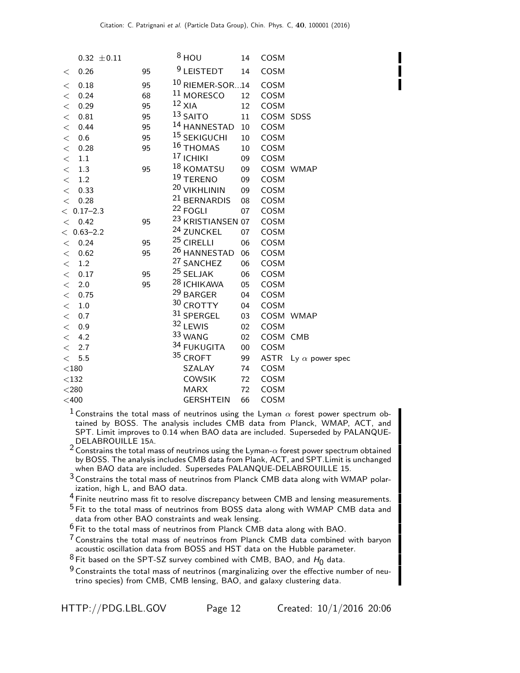|              | $0.32 \pm 0.11$ |    | $8$ HOU                      | 14     | COSM      |                             |
|--------------|-----------------|----|------------------------------|--------|-----------|-----------------------------|
| $\,<\,$      | 0.26            | 95 | <sup>9</sup> LEISTEDT        | 14     | COSM      |                             |
| $\,<\,$      | 0.18            | 95 | $10$ RIEMER-SOR $14$         |        | COSM      |                             |
| $\lt$        | 0.24            | 68 | <sup>11</sup> MORESCO        | 12     | COSM      |                             |
| $\lt$        | 0.29            | 95 | $12$ XIA                     | 12     | COSM      |                             |
| $\lt$        | 0.81            | 95 | $13$ SAITO                   | 11     | COSM SDSS |                             |
| $\lt$        | 0.44            | 95 | 14 HANNESTAD 10              |        | COSM      |                             |
| $\lt$        | 0.6             | 95 | <sup>15</sup> SEKIGUCHI      | 10     | COSM      |                             |
| $\lt$        | 0.28            | 95 | <sup>16</sup> THOMAS         | 10     | COSM      |                             |
| $\lt$        | $1.1\,$         |    | <sup>17</sup> ICHIKI         | 09     | COSM      |                             |
| $\lt$        | 1.3             | 95 | 18 KOMATSU                   | 09     |           | COSM WMAP                   |
| $\lt$        | 1.2             |    | <sup>19</sup> TERENO         | 09     | COSM      |                             |
| $\lt$        | 0.33            |    | 20 VIKHLININ                 | 09     | COSM      |                             |
| $\lt$        | 0.28            |    | <sup>21</sup> BERNARDIS      | 08     | COSM      |                             |
|              | $< 0.17 - 2.3$  |    | <sup>22</sup> FOGLI          | 07     | COSM      |                             |
| $\lt$        | 0.42            | 95 | <sup>23</sup> KRISTIANSEN 07 |        | COSM      |                             |
|              | $< 0.63 - 2.2$  |    | <sup>24</sup> ZUNCKEL        | 07     | COSM      |                             |
|              | $<$ 0.24 $\,$   | 95 | $25$ CIRELLI                 | 06     | COSM      |                             |
| $\,<\,$      | 0.62            | 95 | <sup>26</sup> HANNESTAD      | 06     | COSM      |                             |
| $\lt$        | $1.2\,$         |    | <sup>27</sup> SANCHEZ        | 06     | COSM      |                             |
| $\lt$        | 0.17            | 95 | $25$ SELJAK                  | 06     | COSM      |                             |
| $\lt$        | 2.0             | 95 | <sup>28</sup> ICHIKAWA       | 05     | COSM      |                             |
| $\lt$        | 0.75            |    | <sup>29</sup> BARGER         | 04     | COSM      |                             |
| $\lt$        | 1.0             |    | 30 CROTTY                    | 04     | COSM      |                             |
| $\lt$        | 0.7             |    | 31 SPERGEL                   | 03     |           | COSM WMAP                   |
| $\lt$        | 0.9             |    | 32 LEWIS                     | 02     | COSM      |                             |
| $\lt$        | 4.2             |    | 33 WANG                      | 02     | COSM CMB  |                             |
| $\lt$        | 2.7             |    | 34 FUKUGITA                  | $00\,$ | COSM      |                             |
| $\lt$        | 5.5             |    | 35 CROFT                     | 99     |           | ASTR Ly $\alpha$ power spec |
| $<$ 180 $\,$ |                 |    | SZALAY                       | 74     | COSM      |                             |
| $<132$       |                 |    | <b>COWSIK</b>                | 72     | COSM      |                             |
| $<$ 280 $\,$ |                 |    | <b>MARX</b>                  | 72     | COSM      |                             |
| $<$ 400      |                 |    | <b>GERSHTEIN</b>             | 66     | COSM      |                             |

<sup>1</sup> Constrains the total mass of neutrinos using the Lyman  $\alpha$  forest power spectrum obtained by BOSS. The analysis includes CMB data from Planck, WMAP, ACT, and SPT. Limit improves to 0.14 when BAO data are included. Superseded by PALANQUE-DELABROUILLE 15A.

 $2$  Constrains the total mass of neutrinos using the Lyman- $\alpha$  forest power spectrum obtained by BOSS. The analysis includes CMB data from Plank, ACT, and SPT.Limit is unchanged when BAO data are included. Supersedes PALANQUE-DELABROUILLE 15.

3 Constrains the total mass of neutrinos from Planck CMB data along with WMAP polarization, high L, and BAO data.

<sup>4</sup> Finite neutrino mass fit to resolve discrepancy between CMB and lensing measurements.

<sup>5</sup> Fit to the total mass of neutrinos from BOSS data along with WMAP CMB data and data from other BAO constraints and weak lensing.

 $6$  Fit to the total mass of neutrinos from Planck CMB data along with BAO.

<sup>7</sup> Constrains the total mass of neutrinos from Planck CMB data combined with baryon acoustic oscillation data from BOSS and HST data on the Hubble parameter.

 $^8$  Fit based on the SPT-SZ survey combined with CMB, BAO, and  $H_0$  data.

 $9$  Constraints the total mass of neutrinos (marginalizing over the effective number of neutrino species) from CMB, CMB lensing, BAO, and galaxy clustering data.

| HTTP://PDG.LBL.GOV |  |
|--------------------|--|
|--------------------|--|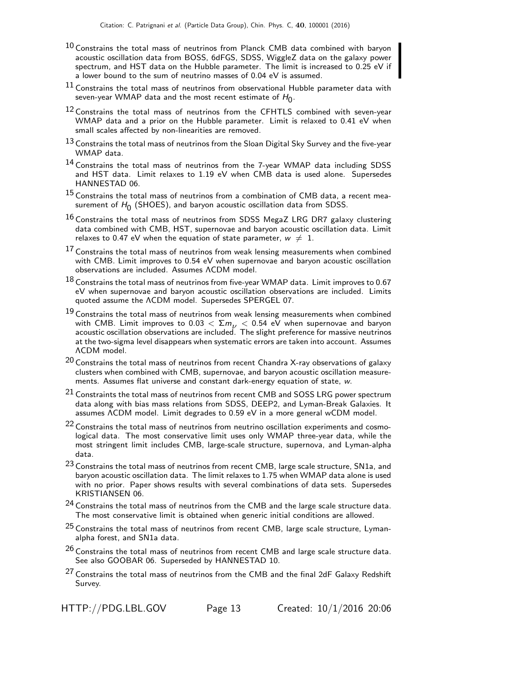- $10$  Constrains the total mass of neutrinos from Planck CMB data combined with baryon acoustic oscillation data from BOSS, 6dFGS, SDSS, WiggleZ data on the galaxy power spectrum, and HST data on the Hubble parameter. The limit is increased to 0.25 eV if a lower bound to the sum of neutrino masses of 0.04 eV is assumed.
- $11$  Constrains the total mass of neutrinos from observational Hubble parameter data with seven-year WMAP data and the most recent estimate of  $H_0^{\vphantom{\dagger}}$  .
- $12$  Constrains the total mass of neutrinos from the CFHTLS combined with seven-year WMAP data and a prior on the Hubble parameter. Limit is relaxed to 0.41 eV when small scales affected by non-linearities are removed.
- $13$  Constrains the total mass of neutrinos from the Sloan Digital Sky Survey and the five-year WMAP data.
- $14$  Constrains the total mass of neutrinos from the 7-year WMAP data including SDSS and HST data. Limit relaxes to 1.19 eV when CMB data is used alone. Supersedes HANNESTAD 06.
- <sup>15</sup> Constrains the total mass of neutrinos from a combination of CMB data, a recent measurement of  $H_0$  (SHOES), and baryon acoustic oscillation data from SDSS.
- $^{16}$  Constrains the total mass of neutrinos from SDSS MegaZ LRG DR7 galaxy clustering data combined with CMB, HST, supernovae and baryon acoustic oscillation data. Limit relaxes to 0.47 eV when the equation of state parameter,  $w \neq 1$ .
- 17 Constrains the total mass of neutrinos from weak lensing measurements when combined with CMB. Limit improves to 0.54 eV when supernovae and baryon acoustic oscillation observations are included. Assumes ΛCDM model.
- $^{18}$  Constrains the total mass of neutrinos from five-year WMAP data. Limit improves to 0.67 eV when supernovae and baryon acoustic oscillation observations are included. Limits quoted assume the ΛCDM model. Supersedes SPERGEL 07.
- $19$  Constrains the total mass of neutrinos from weak lensing measurements when combined with CMB. Limit improves to 0.03  $<\Sigma m_{\nu}<$  0.54 eV when supernovae and baryon<br>acoustic oscillation observations are included. The slight preference for massive neutrinos at the two-sigma level disappears when systematic errors are taken into account. Assumes ΛCDM model.
- $20$  Constrains the total mass of neutrinos from recent Chandra X-ray observations of galaxy clusters when combined with CMB, supernovae, and baryon acoustic oscillation measurements. Assumes flat universe and constant dark-energy equation of state, w.
- $21$  Constraints the total mass of neutrinos from recent CMB and SOSS LRG power spectrum data along with bias mass relations from SDSS, DEEP2, and Lyman-Break Galaxies. It assumes ΛCDM model. Limit degrades to 0.59 eV in a more general wCDM model.
- $22$  Constrains the total mass of neutrinos from neutrino oscillation experiments and cosmological data. The most conservative limit uses only WMAP three-year data, while the most stringent limit includes CMB, large-scale structure, supernova, and Lyman-alpha data.
- <sup>23</sup> Constrains the total mass of neutrinos from recent CMB, large scale structure, SN1a, and baryon acoustic oscillation data. The limit relaxes to 1.75 when WMAP data alone is used with no prior. Paper shows results with several combinations of data sets. Supersedes KRISTIANSEN 06.
- $^{24}$  Constrains the total mass of neutrinos from the CMB and the large scale structure data. The most conservative limit is obtained when generic initial conditions are allowed.
- $25$  Constrains the total mass of neutrinos from recent CMB, large scale structure, Lymanalpha forest, and SN1a data.
- $26$  Constrains the total mass of neutrinos from recent CMB and large scale structure data. See also GOOBAR 06. Superseded by HANNESTAD 10.
- $27$  Constrains the total mass of neutrinos from the CMB and the final 2dF Galaxy Redshift Survey.

HTTP://PDG.LBL.GOV Page 13 Created: 10/1/2016 20:06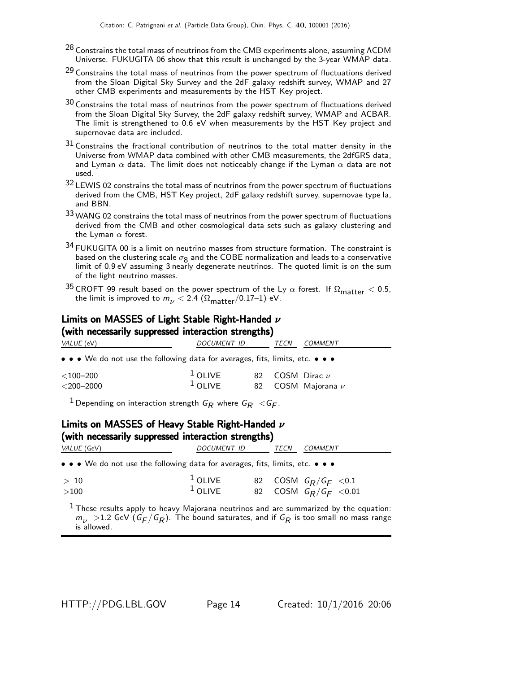- $^{28}$  Constrains the total mass of neutrinos from the CMB experiments alone, assuming <code>ACDM</code> Universe. FUKUGITA 06 show that this result is unchanged by the 3-year WMAP data.
- $29$  Constrains the total mass of neutrinos from the power spectrum of fluctuations derived from the Sloan Digital Sky Survey and the 2dF galaxy redshift survey, WMAP and 27 other CMB experiments and measurements by the HST Key project.
- $30$  Constrains the total mass of neutrinos from the power spectrum of fluctuations derived from the Sloan Digital Sky Survey, the 2dF galaxy redshift survey, WMAP and ACBAR. The limit is strengthened to 0.6 eV when measurements by the HST Key project and supernovae data are included.
- 31 Constrains the fractional contribution of neutrinos to the total matter density in the Universe from WMAP data combined with other CMB measurements, the 2dfGRS data, and Lyman  $\alpha$  data. The limit does not noticeably change if the Lyman  $\alpha$  data are not used.
- 32 LEWIS 02 constrains the total mass of neutrinos from the power spectrum of fluctuations derived from the CMB, HST Key project, 2dF galaxy redshift survey, supernovae type Ia, and BBN.
- 33 WANG 02 constrains the total mass of neutrinos from the power spectrum of fluctuations derived from the CMB and other cosmological data sets such as galaxy clustering and the Lyman  $\alpha$  forest.
- $34$  FUKUGITA 00 is a limit on neutrino masses from structure formation. The constraint is based on the clustering scale  $\sigma_8$  and the COBE normalization and leads to a conservative limit of 0.9 eV assuming 3 nearly degenerate neutrinos. The quoted limit is on the sum of the light neutrino masses.
- 35 CROFT 99 result based on the power spectrum of the Ly  $\alpha$  forest. If  $\Omega_{\text{matter}} < 0.5$ , the limit is improved to  $m_{\nu}$  < 2.4 ( $\Omega_{\text{matter}}/0.17$ –1) eV.

#### Limits on MASSES of Light Stable Right-Handed ν (with necessarily suppressed interaction strengths)

| $\mathbf{v}$ . The contract of the contract of the contract of the contract of the contract of the contract of the contract of the contract of the contract of the contract of the contract of the contract of the contract of th<br><i>VALUE</i> (eV) | <i>DOCUMENT ID</i>     | COMMENT<br><i>TECN</i>                               |
|--------------------------------------------------------------------------------------------------------------------------------------------------------------------------------------------------------------------------------------------------------|------------------------|------------------------------------------------------|
| • • • We do not use the following data for averages, fits, limits, etc. • • •                                                                                                                                                                          |                        |                                                      |
| $<$ 100–200<br>$<$ 200–2000                                                                                                                                                                                                                            | $1$ OLIVE<br>$1$ OLIVE | 82 $\sim$ COSM Dirac $\nu$<br>82 COSM Majorana $\nu$ |

 $^1$ Depending on interaction strength  $\emph{G}_{\pmb{R}}$  where  $\emph{G}_{\pmb{R}} <$   $\emph{G}_{\pmb{F}}.$ 

#### Limits on MASSES of Heavy Stable Right-Handed ν (with necessarily suppressed interaction strengths)

| .                                                                             |                        |      |                                                     |  |
|-------------------------------------------------------------------------------|------------------------|------|-----------------------------------------------------|--|
| <i>VALUE</i> (GeV)                                                            | DOCUMENT ID            | TECN | COMMENT                                             |  |
| • • • We do not use the following data for averages, fits, limits, etc. • • • |                        |      |                                                     |  |
| >10<br>$>$ 100                                                                | $1$ OLIVE<br>$1$ OLIVE |      | 82 COSM $G_R/G_F < 0.1$<br>82 COSM $G_R/G_F < 0.01$ |  |
|                                                                               |                        |      |                                                     |  |

 $<sup>1</sup>$  These results apply to heavy Majorana neutrinos and are summarized by the equation:</sup>  $m_{\nu}$   $>$  1.2 GeV (G $_{F}/$ G $_{R}$ ). The bound saturates, and if G $_{R}$  is too small no mass range is allowed.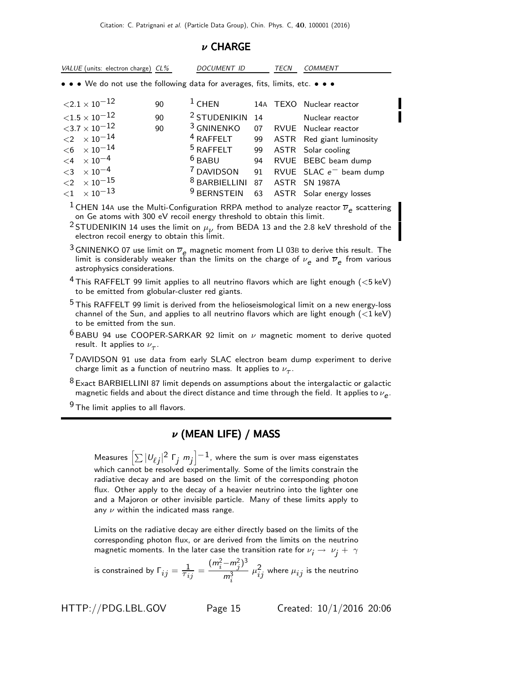#### ν CHARGE

|          | VALUE (units: electron charge) CL%                                            |    | DOCUMENT ID                               |    | TECN | COMMENT                      |
|----------|-------------------------------------------------------------------------------|----|-------------------------------------------|----|------|------------------------------|
|          | • • • We do not use the following data for averages, fits, limits, etc. • • • |    |                                           |    |      |                              |
|          | ${<}2.1\times10^{-12}$                                                        | 90 | $1$ CHEN                                  |    |      | 14A TEXO Nuclear reactor     |
|          | ${<}1.5\times10^{-12}$                                                        | 90 | <sup>2</sup> STUDENIKIN                   | 14 |      | Nuclear reactor              |
|          | ${<}3.7\times10^{-12}$                                                        | 90 | <sup>3</sup> GNINENKO                     |    |      | 07 RVUE Nuclear reactor      |
|          | $\langle 2 \ \times 10^{-14}$                                                 |    | $4$ RAFFELT                               | 99 |      | ASTR Red giant luminosity    |
|          | $<$ 6 $~\times 10^{-14}$                                                      |    | $5$ RAFFELT 99                            |    |      | ASTR Solar cooling           |
|          | $< 4 \times 10^{-4}$                                                          |    | $6$ BABU<br>94                            |    |      | RVUE BEBC beam dump          |
|          | $<$ 3 $\times$ 10 <sup>-4</sup>                                               |    | <sup>7</sup> DAVIDSON                     |    |      | 91 RVUE SLAC $e^-$ beam dump |
|          | $<$ 2 $~\times 10^{-15}$                                                      |    | <sup>8</sup> BARBIELLINI 87 ASTR SN 1987A |    |      |                              |
| $\leq$ 1 | $\times$ 10 $^{-13}$                                                          |    | <sup>9</sup> BERNSTEIN                    |    |      | 63 ASTR Solar energy losses  |

<sup>1</sup> CHEN 14A use the Multi-Configuration RRPA method to analyze reactor  $\overline{\nu}_e$  scattering on Ge atoms with 300 eV recoil energy threshold to obtain this limit.

<sup>2</sup> STUDENIKIN 14 uses the limit on  $\mu_{\nu}$  from BEDA 13 and the 2.8 keV threshold of the electron recoil energy to obtain this limit.

<sup>3</sup> GNINENKO 07 use limit on  $\overline{\nu}_{\rho}$  magnetic moment from LI 03B to derive this result. The limit is considerably weaker than the limits on the charge of  $\nu_{\bm e}$  and  $\overline{\nu}_{\bm e}$  from various astrophysics considerations.

 $4$  This RAFFELT 99 limit applies to all neutrino flavors which are light enough ( $<$ 5 keV) to be emitted from globular-cluster red giants.

<sup>5</sup> This RAFFELT 99 limit is derived from the helioseismological limit on a new energy-loss channel of the Sun, and applies to all neutrino flavors which are light enough  $(<1 \text{ keV})$ to be emitted from the sun.

 $6$  BABU 94 use COOPER-SARKAR 92 limit on  $\nu$  magnetic moment to derive quoted result. It applies to  $\nu_{\tau}$ .

 $7$  DAVIDSON 91 use data from early SLAC electron beam dump experiment to derive charge limit as a function of neutrino mass. It applies to  $\nu_{_{\cal T}}.$ 

8 Exact BARBIELLINI 87 limit depends on assumptions about the intergalactic or galactic magnetic fields and about the direct distance and time through the field. It applies to  $\nu_{\bm{e}}.$ 

<sup>9</sup> The limit applies to all flavors.

### ν (MEAN LIFE) / MASS

Measures  $\left[\sum|\nu_{\ell j}|^2\;{\sf F}_j\;m_j\right]^{-1}$ , where the sum is over mass eigenstates which cannot be resolved experimentally. Some of the limits constrain the radiative decay and are based on the limit of the corresponding photon flux. Other apply to the decay of a heavier neutrino into the lighter one and a Majoron or other invisible particle. Many of these limits apply to any  $\nu$  within the indicated mass range.

Limits on the radiative decay are either directly based on the limits of the corresponding photon flux, or are derived from the limits on the neutrino magnetic moments. In the later case the transition rate for  $\nu_i \rightarrow \nu_i + \gamma$ 

is constrained by  $\Gamma_{ij}=\frac{1}{\tau_{ij}}=$  $(m_i^2 - m_j^2)^3$  $m_i^3$  $\mu_{ij}^2$  where  $\mu_{ij}$  is the neutrino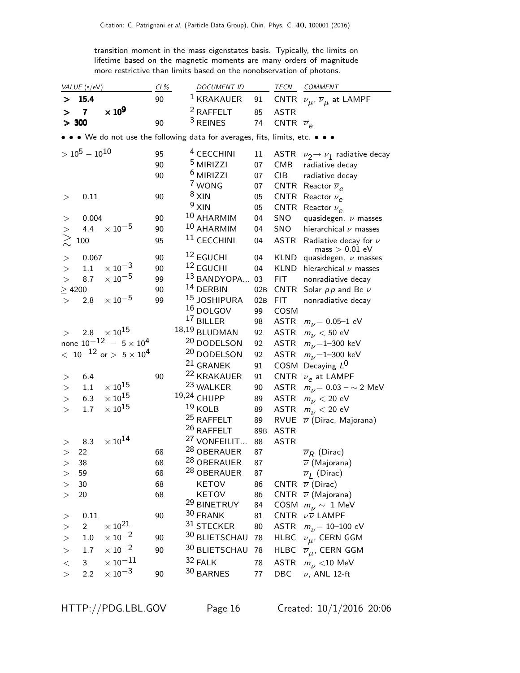transition moment in the mass eigenstates basis. Typically, the limits on lifetime based on the magnetic moments are many orders of magnitude more restrictive than limits based on the nonobservation of photons.

|           | VALUE (s/eV)       |                                     | $CL\%$ | <b>DOCUMENT ID</b>                                                            |                 | TECN                    | COMMENT                                            |
|-----------|--------------------|-------------------------------------|--------|-------------------------------------------------------------------------------|-----------------|-------------------------|----------------------------------------------------|
| $\geq$    | 15.4               |                                     | 90     | <sup>1</sup> KRAKAUER                                                         | 91              |                         | CNTR $\nu_{\mu}$ , $\overline{\nu}_{\mu}$ at LAMPF |
| >         | $\overline{7}$     | $\times 10^9$                       |        | <sup>2</sup> RAFFELT                                                          | 85              | <b>ASTR</b>             |                                                    |
|           | $> 300$            |                                     | 90     | $3$ REINES                                                                    | 74              | CNTR $\overline{\nu}_e$ |                                                    |
|           |                    |                                     |        | • • • We do not use the following data for averages, fits, limits, etc. • • • |                 |                         |                                                    |
|           | $> 10^5 - 10^{10}$ |                                     | 95     | <sup>4</sup> CECCHINI                                                         | $11\,$          |                         | ASTR $\nu_2 \rightarrow \nu_1$ radiative decay     |
|           |                    |                                     | 90     | <sup>5</sup> MIRIZZI                                                          | 07              | <b>CMB</b>              | radiative decay                                    |
|           |                    |                                     | 90     | $6$ MIRIZZI                                                                   | 07              | <b>CIB</b>              | radiative decay                                    |
|           |                    |                                     |        | 7 WONG                                                                        | 07              | <b>CNTR</b>             | Reactor $\overline{\nu}_e$                         |
| >         | 0.11               |                                     | 90     | $8 \times 1$ N                                                                | 05              | <b>CNTR</b>             | Reactor $\nu_e$                                    |
|           |                    |                                     |        | $9 \times 10^{-1}$                                                            | 05              | <b>CNTR</b>             | Reactor $\nu_{\rho}$                               |
| >         | 0.004              |                                     | 90     | 10 AHARMIM                                                                    | 04              | SNO                     | quasidegen. $\nu$ masses                           |
| >         | 4.4                | $\times$ 10 $^{-5}$                 | 90     | 10 AHARMIM                                                                    | 04              | SNO                     | hierarchical $\nu$ masses                          |
| $\gtrsim$ | 100                |                                     | 95     | <sup>11</sup> CECCHINI                                                        | 04              | <b>ASTR</b>             | Radiative decay for $\nu$<br>$mass > 0.01$ eV      |
| $\,>$     | 0.067              |                                     | 90     | <sup>12</sup> EGUCHI                                                          | 04              | <b>KLND</b>             | quasidegen. $\nu$ masses                           |
| >         | 1.1                | $\times$ 10 <sup>-3</sup>           | 90     | <sup>12</sup> EGUCHI                                                          | 04              | <b>KLND</b>             | hierarchical $\nu$ masses                          |
| $\geq$    | 8.7                | $\times$ $10^{-5}$                  | 99     | 13 BANDYOPA                                                                   | 03              | <b>FIT</b>              | nonradiative decay                                 |
|           | $\geq 4200$        |                                     | 90     | $14$ DERBIN                                                                   | 02B             | CNTR                    | Solar $pp$ and Be $\nu$                            |
| >         | 2.8                | $\times$ 10 $^{-5}$                 | 99     | 15 JOSHIPURA                                                                  | 02B             | <b>FIT</b>              | nonradiative decay                                 |
|           |                    |                                     |        | $^{16}$ DOLGOV                                                                | 99              | COSM                    |                                                    |
|           |                    |                                     |        | <sup>17</sup> BILLER                                                          | 98              | ASTR                    | $m_{\nu}$ = 0.05–1 eV                              |
| $\rm{>}$  |                    | 2.8 $\times 10^{15}$                |        | 18,19 BLUDMAN                                                                 | 92              | <b>ASTR</b>             | $m_{\nu}$ < 50 eV                                  |
|           |                    | none $10^{-12}$ - $5 \times 10^{4}$ |        | 20 DODELSON                                                                   | 92              | <b>ASTR</b>             | $m_{\nu}$ =1-300 keV                               |
|           |                    | $<~10^{-12}$ or $>~5\times10^4$     |        | 20 DODELSON                                                                   | 92              | <b>ASTR</b>             | $m_{\nu}$ =1-300 keV                               |
|           |                    |                                     |        | <sup>21</sup> GRANEK                                                          | 91              | COSM                    | Decaying $L^0$                                     |
| >         | 6.4                |                                     | 90     | 22 KRAKAUER                                                                   | 91              | <b>CNTR</b>             | $\nu_e$ at LAMPF                                   |
| >         | 1.1                | $\times$ $10^{15}$                  |        | 23 WALKER                                                                     | 90              | <b>ASTR</b>             | $m_{\nu}$ = 0.03 – $\sim$ 2 MeV                    |
| >         | 6.3                | $\times$ 10 $^{15}$                 |        | 19,24 CHUPP                                                                   | 89              | <b>ASTR</b>             | $m_{\nu}$ < 20 eV                                  |
| >         | 1.7                | $\times$ 10 $^{15}$                 |        | $19$ KOLB                                                                     | 89              | <b>ASTR</b>             | $m_{1/2}$ < 20 eV                                  |
|           |                    |                                     |        | <sup>25</sup> RAFFELT                                                         | 89              | <b>RVUE</b>             | $\overline{\nu}$ (Dirac, Majorana)                 |
|           |                    |                                     |        | 26 RAFFELT                                                                    | 89 <sub>B</sub> | <b>ASTR</b>             |                                                    |
| >         | 8.3                | $\times$ $10^{14}$                  |        | <sup>27</sup> VONFEILIT                                                       | 88              | <b>ASTR</b>             |                                                    |
| >         | 22                 |                                     | 68     | <sup>28</sup> OBERAUER                                                        | 87              |                         | $\overline{\nu}_R$ (Dirac)                         |
| $\rm{>}$  | 38                 |                                     | 68     | <sup>28</sup> OBERAUER                                                        | 87              |                         | $\overline{\nu}$ (Majorana)                        |
| >         | 59                 |                                     | 68     | <sup>28</sup> OBERAUER                                                        | 87              |                         | $\overline{\nu}_I$ (Dirac)                         |
| >         | $30\,$             |                                     | 68     | KETOV                                                                         | 86              |                         | CNTR $\overline{\nu}$ (Dirac)                      |
| >         | 20                 |                                     | 68     | <b>KETOV</b>                                                                  | 86              |                         | CNTR $\overline{\nu}$ (Majorana)                   |
|           |                    |                                     |        | <sup>29</sup> BINETRUY                                                        | 84              |                         | COSM $m_{\nu} \sim 1$ MeV                          |
| >         | 0.11               |                                     | 90     | 30 FRANK                                                                      | 81              |                         | CNTR $\nu\overline{\nu}$ LAMPF                     |
| >         | $\overline{2}$     | $\times$ $10^{21}$                  |        | 31 STECKER                                                                    | 80              | <b>ASTR</b>             | $m_{\nu}$ = 10–100 eV                              |
| >         | $1.0\,$            | $\times$ 10 <sup>-2</sup>           | 90     | 30 BLIETSCHAU                                                                 | 78              | <b>HLBC</b>             | $\nu_{\mu}$ , CERN GGM                             |
| $\,>$     | 1.7                | $\times\,10^{-2}$                   | 90     | 30 BLIETSCHAU                                                                 | 78              | <b>HLBC</b>             | $\overline{\nu}_{\mu}$ , CERN GGM                  |
| $<\,$     | 3                  | $\times$ $10^{-11}$                 |        | $32$ FALK                                                                     | 78              | <b>ASTR</b>             | $m_{\nu}$ <10 MeV                                  |
| >         | 2.2                | $\times$ $10^{-3}$                  | 90     | 30 BARNES                                                                     | 77              | DBC                     | $\nu$ , ANL 12-ft                                  |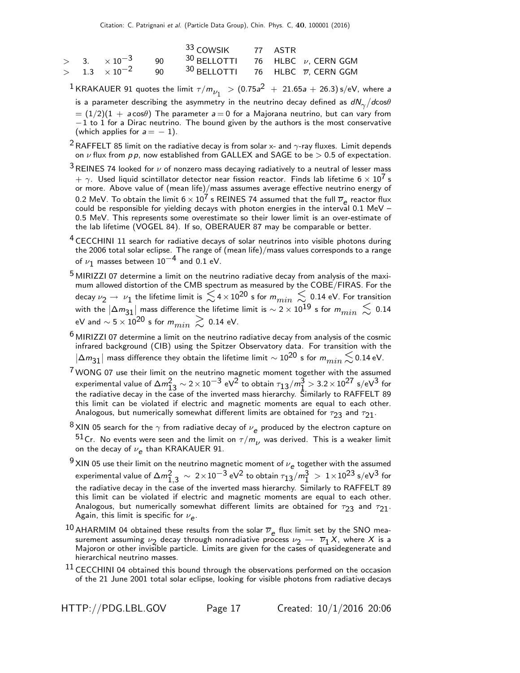|  |  | <sup>33</sup> COWSIK 77 ASTR                                                                    |  |  |
|--|--|-------------------------------------------------------------------------------------------------|--|--|
|  |  | $>$ 3. $\times 10^{-3}$ 90 <sup>30</sup> BELLOTTI 76 HLBC $\nu$ , CERN GGM                      |  |  |
|  |  | $>$ 1.3 $\times$ 10 <sup>-2</sup> 90 <sup>30</sup> BELLOTTI 76 HLBC $\overline{\nu}$ , CERN GGM |  |  |

 $^{\displaystyle 1}$ KRAKAUER 91 quotes the limit  $\tau/m_{\nu_1}^{}$   $\,$   $>$   $(0.75a^2$   $\,+\,$  21.65a  $+$  26.3) s/eV, where a is a parameter describing the asymmetry in the neutrino decay defined as  $dN_{\gamma}/d{\rm cos}\theta$  $= (1/2)(1 + a \cos\theta)$  The parameter  $a = 0$  for a Majorana neutrino, but can vary from  $-1$  to 1 for a Dirac neutrino. The bound given by the authors is the most conservative (which applies for  $a = -1$ ).

- <sup>2</sup> RAFFELT 85 limit on the radiative decay is from solar x- and  $\gamma$ -ray fluxes. Limit depends on  $\nu$  flux from  $p p$ , now established from GALLEX and SAGE to be  $> 0.5$  of expectation.
- $3$ REINES 74 looked for  $\nu$  of nonzero mass decaying radiatively to a neutral of lesser mass  $+ \gamma$ . Used liquid scintillator detector near fission reactor. Finds lab lifetime 6  $\times$  10<sup>1</sup> s or more. Above value of (mean life)/mass assumes average effective neutrino energy of 0.2 MeV. To obtain the limit  $6 \times 10^7$  s REINES 74 assumed that the full  $\overline{\nu}_e$  reactor flux could be responsible for yielding decays with photon energies in the interval 0.1 MeV – 0.5 MeV. This represents some overestimate so their lower limit is an over-estimate of the lab lifetime (VOGEL 84). If so, OBERAUER 87 may be comparable or better.
- <sup>4</sup> CECCHINI 11 search for radiative decays of solar neutrinos into visible photons during the 2006 total solar eclipse. The range of (mean life)/mass values corresponds to a range of  $\nu_1$  masses between  $10^{-4}$  and 0.1 eV.
- $5$  MIRIZZI 07 determine a limit on the neutrino radiative decay from analysis of the maximum allowed distortion of the CMB spectrum as measured by the COBE/FIRAS. For the decay  $\nu_2\to\,\nu_1$  the lifetime limit is  $\lesssim$  4  $\times$  10 $^{20}$  s for  $m_{min}\,\lesssim\,$  0.14 eV. For transition with the  $|\Delta m_{31}|$  mass difference the lifetime limit is  $\sim$  2  $\times$  10 $^{19}$  s for  $m_{min}~ \lesssim ~0.14$ eV and  $\sim 5 \times 10^{20}$  s for  $m_{min} \gtrsim 0.14$  eV.
- $6$  MIRIZZI 07 determine a limit on the neutrino radiative decay from analysis of the cosmic infrared background (CIB) using the Spitzer Observatory data. For transition with the  $|\Delta m_{31}|$  mass difference they obtain the lifetime limit  $\sim$  10 $^{20}$  s for  $m_{min}$   $\lesssim$  0.14 eV.
- $7$  WONG 07 use their limit on the neutrino magnetic moment together with the assumed experimental value of  $\Delta m_{13}^2 \sim 2 \times 10^{-3}$  eV<sup>2</sup> to obtain  $\tau_{13}/m_{1}^3 > 3.2 \times 10^{27}$  s/eV<sup>3</sup> for the radiative decay in the case of the inverted mass hierarchy. Similarly to RAFFELT 89 this limit can be violated if electric and magnetic moments are equal to each other. Analogous, but numerically somewhat different limits are obtained for  $\tau_{23}$  and  $\tau_{21}$ .
- $\frac{8}{10}$ XIN 05 search for the  $\gamma$  from radiative decay of  $\nu_e$  produced by the electron capture on 51Cr. No events were seen and the limit on  $\tau/m_{\nu}$  was derived. This is a weaker limit on the decay of  $\nu_{\bm{e}}$  than KRAKAUER 91.
- $^{9}$  XIN 05 use their limit on the neutrino magnetic moment of  $\nu_e$  together with the assumed experimental value of  $\Delta m^2_{1,3} \, \sim \, 2 \times 10^{-3}$  eV $^2$  to obtain  $\tau_{13}/m^3_1 \, > \, 1 \times 10^{23}$  s/eV $^3$  for the radiative decay in the case of the inverted mass hierarchy. Similarly to RAFFELT 89 this limit can be violated if electric and magnetic moments are equal to each other. Analogous, but numerically somewhat different limits are obtained for  $\tau_{23}$  and  $\tau_{21}$ . Again, this limit is specific for  $\nu_e$ .
- $^{10}$  AHARMIM 04 obtained these results from the solar  $\overline{\nu}_e$  flux limit set by the SNO measurement assuming  $\nu_2$  decay through nonradiative process  $\nu_2 \rightarrow \overline{\nu}_1 X$ , where  $X$  is a Majoron or other invisible particle. Limits are given for the cases of quasidegenerate and hierarchical neutrino masses.
- $<sup>11</sup>$  CECCHINI 04 obtained this bound through the observations performed on the occasion</sup> of the 21 June 2001 total solar eclipse, looking for visible photons from radiative decays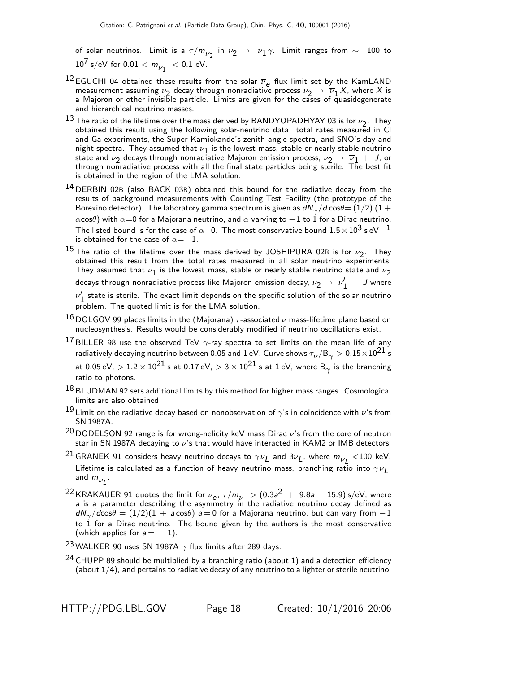of solar neutrinos. Limit is a  $\tau/m_{\nu_2}$  in  $\nu_2 \rightarrow \nu_1 \gamma$ . Limit ranges from  $\sim$   $\,$  100 to  $\,$  $10^7$  s/eV for  $0.01 < m_{\nu_1} < 0.1$  eV.

- <sup>12</sup> EGUCHI 04 obtained these results from the solar  $\overline{v}_e$  flux limit set by the KamLAND measurement assuming  $\nu_2$  decay through nonradiative process  $\nu_2 \rightarrow \overline{\nu}_1 X$ , where X is a Majoron or other invisible particle. Limits are given for the cases of quasidegenerate and hierarchical neutrino masses.
- 13 The ratio of the lifetime over the mass derived by BANDYOPADHYAY 03 is for  $\nu_2$ . They obtained this result using the following solar-neutrino data: total rates measured in Cl and Ga experiments, the Super-Kamiokande's zenith-angle spectra, and SNO's day and night spectra. They assumed that  $\nu_1$  is the lowest mass, stable or nearly stable neutrino state and  $\nu_2$  decays through nonradiative Majoron emission process,  $\nu_2 \rightarrow \overline{\nu}_1 + J$ , or through nonradiative process with all the final state particles being sterile. The best fit is obtained in the region of the LMA solution.
- <sup>14</sup> DERBIN 02B (also BACK 03B) obtained this bound for the radiative decay from the results of background measurements with Counting Test Facility (the prototype of the Borexino detector). The laboratory gamma spectrum is given as  $d{\sf N}_{\gamma}/d\cos\theta{=}\left(1/2\right)\left(1+ \right.$ αcos $θ$ ) with  $α=0$  for a Majorana neutrino, and  $α$  varying to  $-1$  to 1 for a Dirac neutrino. The listed bound is for the case of  $\alpha{=}0$ . The most conservative bound  $1.5\times10^3$  s eV $^{-1}$ is obtained for the case of  $\alpha=-1$ .
- $^{15}$  The ratio of the lifetime over the mass derived by JOSHIPURA 02B is for  $\nu_2$ . They obtained this result from the total rates measured in all solar neutrino experiments. They assumed that  $\nu_{\bf 1}$  is the lowest mass, stable or nearly stable neutrino state and  $\nu_{\bf 2}$ decays through nonradiative process like Majoron emission decay,  $\nu_2\rightarrow~\nu_1' +~J$  where

 $\nu'_{1}$  state is sterile. The exact limit depends on the specific solution of the solar neutrino problem. The quoted limit is for the LMA solution.

- $^{16}$  DOLGOV 99 places limits in the (Majorana)  $\tau$ -associated  $\nu$  mass-lifetime plane based on nucleosynthesis. Results would be considerably modified if neutrino oscillations exist.
- <sup>17</sup> BILLER 98 use the observed TeV  $\gamma$ -ray spectra to set limits on the mean life of any radiatively decaying neutrino between 0.05 and 1 eV. Curve shows  $\tau_{\nu}/\rm B_{\gamma} > 0.15\!\times\!10^{21}$  s at 0.05 eV,  $>1.2\times10^{21}$  s at 0.17 eV,  $>$  3  $\times$   $10^{21}$  s at 1 eV, where B $_{\gamma}$  is the branching ratio to photons.
- $18$  BLUDMAN 92 sets additional limits by this method for higher mass ranges. Cosmological limits are also obtained.
- $^{19}$  Limit on the radiative decay based on nonobservation of  $\gamma$ 's in coincidence with  $\nu$ 's from SN 1987A.
- $20$  DODELSON 92 range is for wrong-helicity keV mass Dirac  $\nu$ 's from the core of neutron star in SN 1987A decaying to  $\nu$ 's that would have interacted in KAM2 or IMB detectors.
- $^{21}$ GRANEK 91 considers heavy neutrino decays to  $\gamma\nu_L$  and  $3\nu_L$ , where  $m_{\nu_L}^{} <$ 100 keV. Lifetime is calculated as a function of heavy neutrino mass, branching ratio into  $\gamma\nu_{\bm{L}}$ , and  $m_{\nu_L}$  .
- $^{22}$  KRAKAUER 91 quotes the limit for  $\nu_{\bf e}$ ,  $\tau/m_{\nu}$   $>$   $(0.3a^2~+~9.8a+15.9)$  s/eV, where a is a parameter describing the asymmetry in the radiative neutrino decay defined as  $d{\sf N}_{\gamma}/d$ cos $\theta=(1/2)(1\,+\,a\,$ cos $\theta)$   $a\,{=}\,0$  for a Majorana neutrino, but can vary from  $-1$ to  $1$  for a Dirac neutrino. The bound given by the authors is the most conservative (which applies for  $a = -1$ ).

23 WALKER 90 uses SN 1987A  $\gamma$  flux limits after 289 days.

 $24$  CHUPP 89 should be multiplied by a branching ratio (about 1) and a detection efficiency (about 1/4), and pertains to radiative decay of any neutrino to a lighter or sterile neutrino.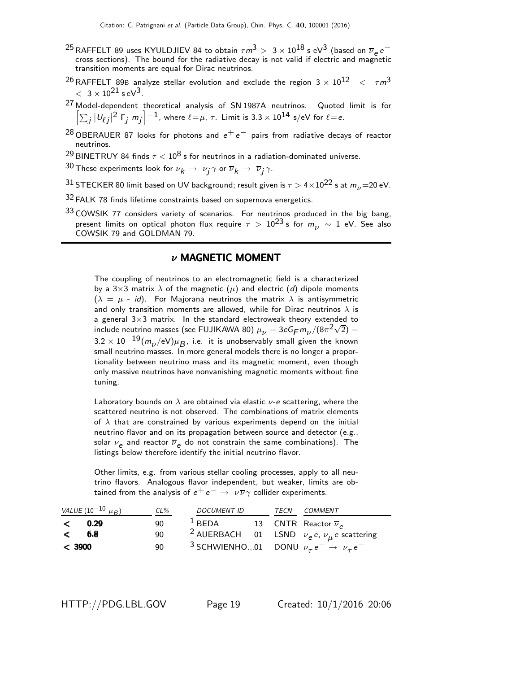- <sup>25</sup> RAFFELT 89 uses KYULDJIEV 84 to obtain  $\tau m^3 > ~3 \times 10^{18}$  s eV<sup>3</sup> (based on  $\overline{\nu}_e \, e^$ cross sections). The bound for the radiative decay is not valid if electric and magnetic transition moments are equal for Dirac neutrinos.
- $^{26}$ RAFFELT 89B analyze stellar evolution and exclude the region 3  $\times$   $10^{12}$   $<$   $~\tau m^3$  $< 3 \times 10^{21}$  s eV<sup>3</sup>.
- 27 Model-dependent theoretical analysis of SN 1987A neutrinos. Quoted limit is for  $\left[\sum_j|\mathit{U}_{\ell j}|^2\; \Gamma_j\;m_j\right]^{-1}$ , where  $\ell\!=\!\mu$ ,  $\tau$ . Limit is 3.3  $\times$  10 $^{14}$  s/eV for  $\ell\!=\!e$ .
- <sup>28</sup> OBERAUER 87 looks for photons and  $e^+e^-$  pairs from radiative decays of reactor neutrinos.
- <sup>29</sup> BINETRUY 84 finds  $\tau < 10^8$  s for neutrinos in a radiation-dominated universe.
- $^{30}$  These experiments look for  $\nu_{\bm k} \rightarrow \ \nu_{\bm j} \gamma$  or  $\overline{\nu}_{\bm k} \rightarrow \ \overline{\nu}_{\bm j} \gamma.$
- 31 STECKER 80 limit based on UV background; result given is  $\tau > 4 \times 10^{22}$  s at  $m_{\nu} = 20$  eV.
- 32 FALK 78 finds lifetime constraints based on supernova energetics.
- $33$  COWSIK 77 considers variety of scenarios. For neutrinos produced in the big bang, present limits on optical photon flux require  $\tau > 10^{23}$  s for  $m_{\nu} \sim 1$  eV. See also COWSIK 79 and GOLDMAN 79.

#### $\nu$  MAGNETIC MOMENT

The coupling of neutrinos to an electromagnetic field is a characterized by a 3×3 matrix  $\lambda$  of the magnetic ( $\mu$ ) and electric (d) dipole moments  $(\lambda = \mu - id)$ . For Majorana neutrinos the matrix  $\lambda$  is antisymmetric and only transition moments are allowed, while for Dirac neutrinos  $\lambda$  is a general 3×3 matrix. In the standard electroweak theory extended to include neutrino masses (see FUJIKAWA 80)  $\mu_{\nu} = 3eG_F m_{\nu}/(8\pi^2\sqrt{2}) =$  $3.2 \times 10^{-19} (m_\nu / \text{eV}) \mu_B^{}$ , i.e. it is unobservably small given the known small neutrino masses. In more general models there is no longer a proportionality between neutrino mass and its magnetic moment, even though only massive neutrinos have nonvanishing magnetic moments without fine tuning.

Laboratory bounds on  $\lambda$  are obtained via elastic  $\nu$ -e scattering, where the scattered neutrino is not observed. The combinations of matrix elements of  $\lambda$  that are constrained by various experiments depend on the initial neutrino flavor and on its propagation between source and detector (e.g., solar  $\nu_e$  and reactor  $\overline{\nu}_e$  do not constrain the same combinations). The listings below therefore identify the initial neutrino flavor.

Other limits, e.g. from various stellar cooling processes, apply to all neutrino flavors. Analogous flavor independent, but weaker, limits are obtained from the analysis of  $e^+e^- \rightarrow \nu \overline{\nu} \gamma$  collider experiments.

| VALUE $(10^{-10} \mu_B)$ | CL% | <b>DOCUMENT ID</b>                                                      |  | TECN COMMENT                                                   |
|--------------------------|-----|-------------------------------------------------------------------------|--|----------------------------------------------------------------|
| < 0.29                   | 90  | $1$ BEDA                                                                |  | 13 CNTR Reactor $\overline{\nu}_e$                             |
| $\lt$ 6.8                | 90  |                                                                         |  | <sup>2</sup> AUERBACH 01 LSND $\nu_e e$ , $\nu_u e$ scattering |
| < 3900                   | 90  | <sup>3</sup> SCHWIENHO01 DONU $\nu_{\tau}e^- \rightarrow \nu_{\tau}e^-$ |  |                                                                |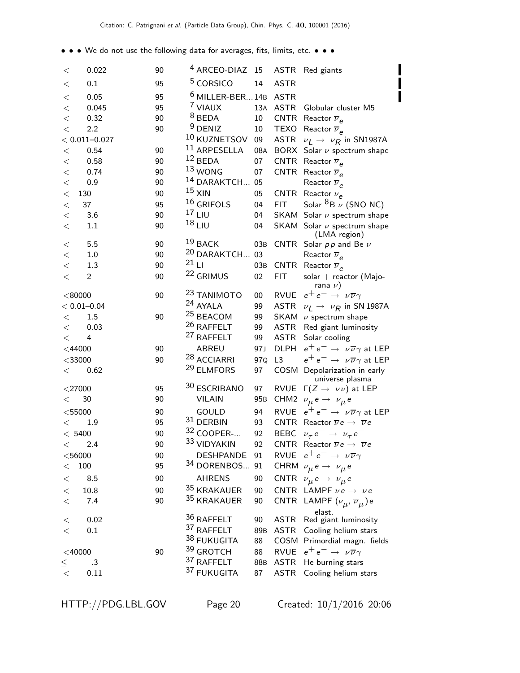• • • We do not use the following data for averages, fits, limits, etc. • • •

|                 |                   |    |         | <sup>4</sup> ARCEO-DIAZ 15 |                 |             |                                                            |
|-----------------|-------------------|----|---------|----------------------------|-----------------|-------------|------------------------------------------------------------|
| $\,<\,$         | 0.022             | 90 |         |                            |                 |             | ASTR Red giants                                            |
| $<\,$           | 0.1               | 95 |         | <sup>5</sup> CORSICO       | 14              | <b>ASTR</b> |                                                            |
| $\,<$           | 0.05              | 95 |         | $6$ MILLER-BER 14B         |                 | <b>ASTR</b> |                                                            |
| $\,<$           | 0.045             | 95 |         | <sup>7</sup> VIAUX         | 13A             | <b>ASTR</b> | Globular cluster M5                                        |
| $\,<$           | 0.32              | 90 |         | $8$ BEDA                   | 10              | <b>CNTR</b> | Reactor $\overline{\nu}_P$                                 |
| $\lt$           | 2.2               | 90 |         | $9$ DENIZ                  | 10              | <b>TEXO</b> | Reactor $\overline{\nu}_e$                                 |
|                 | $< 0.011 - 0.027$ |    |         | 10 KUZNETSOV               | 09              | <b>ASTR</b> | $\nu_I \rightarrow \nu_R$ in SN1987A                       |
| $<\,$           | 0.54              | 90 |         | 11 ARPESELLA               | 08A             | <b>BORX</b> | Solar $\nu$ spectrum shape                                 |
| $<\,$           | 0.58              | 90 |         | $12$ BEDA                  | 07              | CNTR        | Reactor $\overline{\nu}_e$                                 |
| $\,<$           | 0.74              | 90 |         | $13$ WONG                  | 07              |             | CNTR Reactor $\overline{\nu}_e$                            |
| $\lt$           | 0.9               | 90 |         | <sup>14</sup> DARAKTCH 05  |                 |             | Reactor $\overline{\nu}_e$                                 |
| $\lt$           | 130               | 90 |         | $15$ XIN                   | 05              |             | CNTR Reactor $\nu_e$                                       |
| $\,<$           | 37                | 95 |         | $^{16}$ GRIFOLS            | 04              | <b>FIT</b>  | Solar ${}^{8}B \nu$ (SNO NC)                               |
| $\,<$           | 3.6               | 90 |         | $17$ LIU                   | 04              |             | SKAM Solar $\nu$ spectrum shape                            |
| $\lt$           | 1.1               | 90 |         | $18$ LIU                   | 04              |             | SKAM Solar $\nu$ spectrum shape                            |
|                 |                   |    |         |                            |                 |             | (LMA region)                                               |
| $<\,$           | 5.5               | 90 |         | $19$ BACK                  | 03B             |             | CNTR Solar $p p$ and Be $\nu$                              |
| $<\,$           | 1.0               | 90 |         | <sup>20</sup> DARAKTCH 03  |                 |             | Reactor $\overline{\nu}_e$                                 |
| $\lt$           | 1.3               | 90 | $21$ LI |                            | 03B             |             | CNTR Reactor $\overline{\nu}_e$                            |
| $\lt$           | $\overline{c}$    | 90 |         | <sup>22</sup> GRIMUS       | 02              | <b>FIT</b>  | $solar + reactor (Majo-$<br>rana $\nu$ )                   |
| < 80000         |                   | 90 |         | <sup>23</sup> TANIMOTO     | $00\,$          | RVUE        | $e^+e^- \rightarrow \nu \overline{\nu} \gamma$             |
| $< 0.01 - 0.04$ |                   |    |         | 24 AYALA                   | 99              | ASTR        | $\nu_I \rightarrow \nu_R$ in SN 1987A                      |
| $<\,$           | 1.5               | 90 |         | <sup>25</sup> BEACOM       | 99              |             | SKAM $\nu$ spectrum shape                                  |
| $\,<\,$         | 0.03              |    |         | 26 RAFFELT                 | 99              |             | ASTR Red giant luminosity                                  |
| $\lt$           | 4                 |    |         | <sup>27</sup> RAFFELT      | 99              |             | ASTR Solar cooling                                         |
| $<$ 44000       |                   | 90 |         | ABREU                      | 97J             | <b>DLPH</b> | $e^+e^- \rightarrow \nu \overline{\nu} \gamma$ at LEP      |
| $<$ 33000       |                   | 90 |         | <sup>28</sup> ACCIARRI     | 97Q             | L3          | $e^+e^- \rightarrow \nu \overline{\nu} \gamma$ at LEP      |
| <               | 0.62              |    |         | 29 ELMFORS                 | 97              |             | COSM Depolarization in early                               |
|                 |                   |    |         |                            |                 |             | universe plasma                                            |
| $<$ 27000       |                   | 95 |         | 30 ESCRIBANO               | 97              |             | RVUE $\Gamma(Z \to \nu \nu)$ at LEP                        |
| $\,<\,$         | 30                | 90 |         | <b>VILAIN</b>              | 95 <sub>B</sub> | CHM2        | $\nu_{\mu} e \rightarrow \nu_{\mu} e$                      |
| $<$ 55000       |                   | 90 |         | GOULD                      | 94              | <b>RVUE</b> | $e^+e^- \rightarrow \nu \overline{\nu} \gamma$ at LEP      |
| $\lt$           | 1.9               | 95 |         | 31 DERBIN                  | 93              |             | CNTR Reactor $\overline{\nu}e \rightarrow \overline{\nu}e$ |
| < 5400          |                   | 90 |         | 32 COOPER-                 | 92              |             | BEBC $\nu_{\tau} e^- \rightarrow \nu_{\tau} e^-$           |
| $\,<\,$         | 2.4               | 90 |         | <sup>33</sup> VIDYAKIN     | 92              |             | CNTR Reactor $\overline{\nu}e \rightarrow \overline{\nu}e$ |
| $<$ 56000       |                   | 90 |         | <b>DESHPANDE</b>           | 91              |             | RVUE $e^+e^- \rightarrow \nu \overline{\nu} \gamma$        |
| $\,<\,$         | 100               | 95 |         | 34 DORENBOS                | 91              |             | CHRM $\nu_{\mu} e \rightarrow \nu_{\mu} e$                 |
| $<\,$           | 8.5               | 90 |         | <b>AHRENS</b>              | 90              |             | CNTR $\nu_{\mu} e \rightarrow \nu_{\mu} e$                 |
| $<\,$           | 10.8              | 90 |         | 35 KRAKAUER                | 90              |             | CNTR LAMPF $\nu e \rightarrow \nu e$                       |
| $\,<\,$         | 7.4               | 90 |         | 35 KRAKAUER                | 90              |             | CNTR LAMPF $(\nu_{\mu}, \overline{\nu}_{\mu})$ e           |
| $<\,$           | 0.02              |    |         | 36 RAFFELT                 | 90              | ASTR        | elast.<br>Red giant luminosity                             |
| $\lt$           | 0.1               |    |         | 37 RAFFELT                 | 89 <sub>B</sub> | <b>ASTR</b> | Cooling helium stars                                       |
|                 |                   |    |         | 38 FUKUGITA                | 88              |             | COSM Primordial magn. fields                               |
| $<$ 40000       |                   | 90 |         | 39 GROTCH                  | 88              | <b>RVUE</b> | $e^+e^- \rightarrow \nu \overline{\nu} \gamma$             |
|                 | .3                |    |         | 37 RAFFELT                 | 88B             | <b>ASTR</b> | He burning stars                                           |
| $\leq$<br>$<\,$ | 0.11              |    |         | 37 FUKUGITA                | 87              | <b>ASTR</b> | Cooling helium stars                                       |
|                 |                   |    |         |                            |                 |             |                                                            |

|<br>|<br>|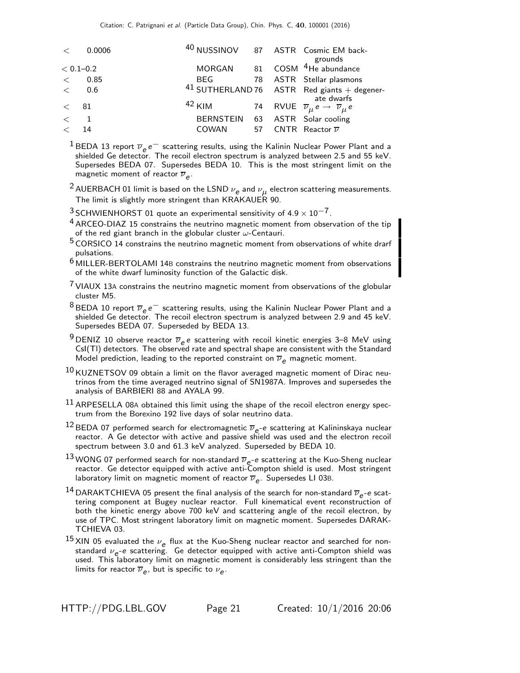| $\lt$        | 0.0006        |                                 |  | <sup>40</sup> NUSSINOV 87 ASTR Cosmic EM back-<br>grounds           |
|--------------|---------------|---------------------------------|--|---------------------------------------------------------------------|
|              | $< 0.1 - 0.2$ | MORGAN                          |  | 81 COSM <sup>4</sup> He abundance                                   |
| $\lt$ $\sim$ | 0.85          |                                 |  | BEG 78 ASTR Stellar plasmons                                        |
|              | $<$ 0.6       |                                 |  | $41$ SUTHERLAND 76 ASTR Red giants + degener-<br>ate dwarfs         |
| < 81         |               | $42$ KIM                        |  | 74 RVUE $\overline{\nu}_{\mu} e \rightarrow \overline{\nu}_{\mu} e$ |
| $\lt$ 1      |               | BERNSTEIN 63 ASTR Solar cooling |  |                                                                     |
| $\lt$        | 14            | COWAN                           |  | 57 CNTR Reactor $\overline{\nu}$                                    |

<sup>1</sup> BEDA 13 report  $\overline{\nu}_e e^-$  scattering results, using the Kalinin Nuclear Power Plant and a shielded Ge detector. The recoil electron spectrum is analyzed between 2.5 and 55 keV. Supersedes BEDA 07. Supersedes BEDA 10. This is the most stringent limit on the magnetic moment of reactor  $\overline{\nu}_{e}$ .

- $^2$  AUERBACH 01 limit is based on the LSND  $\nu_{\bm{e}}$  and  $\nu_{\bm{\mu}}$  electron scattering measurements. The limit is slightly more stringent than KRAKAUER 90.
- <sup>3</sup> SCHWIENHORST 01 quote an experimental sensitivity of  $4.9 \times 10^{-7}$ .
- $4$  ARCEO-DIAZ 15 constrains the neutrino magnetic moment from observation of the tip of the red giant branch in the globular cluster  $\omega$ -Centauri.
- 5 CORSICO 14 constrains the neutrino magnetic moment from observations of white drarf pulsations.
- 6 MILLER-BERTOLAMI 14<sup>B</sup> constrains the neutrino magnetic moment from observations of the white dwarf luminosity function of the Galactic disk.
- $7$  VIAUX 13A constrains the neutrino magnetic moment from observations of the globular cluster M5.
- <sup>8</sup> BEDA 10 report  $\overline{\nu}_e e^-$  scattering results, using the Kalinin Nuclear Power Plant and a shielded Ge detector. The recoil electron spectrum is analyzed between 2.9 and 45 keV. Supersedes BEDA 07. Superseded by BEDA 13.
- $^{9}$  DENIZ 10 observe reactor  $\overline{\nu}_e$  e scattering with recoil kinetic energies 3–8 MeV using CsI(Tl) detectors. The observed rate and spectral shape are consistent with the Standard Model prediction, leading to the reported constraint on  $\overline{\nu}_{\rho}$  magnetic moment.
- $^{10}$ KUZNETSOV 09 obtain a limit on the flavor averaged magnetic moment of Dirac neutrinos from the time averaged neutrino signal of SN1987A. Improves and supersedes the analysis of BARBIERI 88 and AYALA 99.
- $11$  ARPESELLA 08A obtained this limit using the shape of the recoil electron energy spectrum from the Borexino 192 live days of solar neutrino data.
- $^{12}$ BEDA 07 performed search for electromagnetic  $\overline{\nu}_e$ -e scattering at Kalininskaya nuclear reactor. A Ge detector with active and passive shield was used and the electron recoil spectrum between 3.0 and 61.3 keV analyzed. Superseded by BEDA 10.
- $^{13}$  WONG 07 performed search for non-standard  $\overline{\nu}_{e^-}$ e scattering at the Kuo-Sheng nuclear reactor. Ge detector equipped with active anti-Compton shield is used. Most stringent laboratory limit on magnetic moment of reactor  $\overline{\nu}_e.$  Supersedes LI 03B.
- <sup>14</sup> DARAKTCHIEVA 05 present the final analysis of the search for non-standard  $\overline{\nu}_e$ -e scattering component at Bugey nuclear reactor. Full kinematical event reconstruction of both the kinetic energy above 700 keV and scattering angle of the recoil electron, by use of TPC. Most stringent laboratory limit on magnetic moment. Supersedes DARAK-TCHIEVA 03.
- 15 XIN 05 evaluated the  $\nu_e$  flux at the Kuo-Sheng nuclear reactor and searched for nonstandard  $\nu_e$ -e scattering. Ge detector equipped with active anti-Compton shield was used. This laboratory limit on magnetic moment is considerably less stringent than the limits for reactor  $\overline{\nu}_{e}$ , but is specific to  $\nu_{e}$ .

HTTP://PDG.LBL.GOV Page 21 Created: 10/1/2016 20:06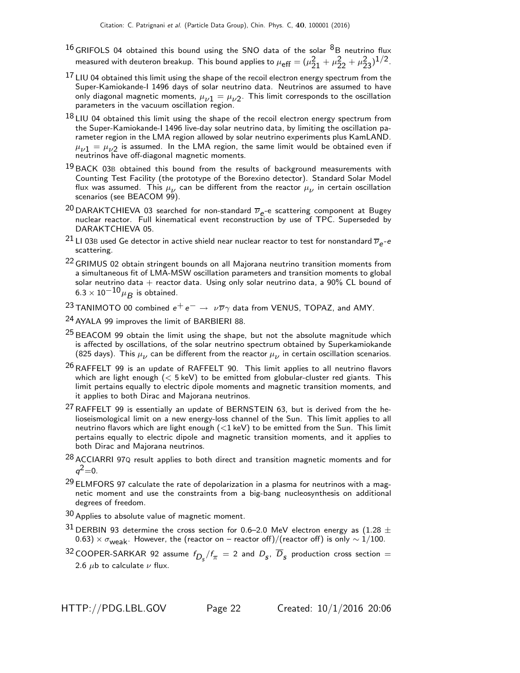- $^{16}$  GRIFOLS 04 obtained this bound using the SNO data of the solar  $^{8}$ B neutrino flux measured with deuteron breakup. This bound applies to  $\mu_{\text{eff}} = (\mu_{21}^2 + \mu_{22}^2 + \mu_{23}^2)^{1/2}$ .
- $^{17}$  LIU 04 obtained this limit using the shape of the recoil electron energy spectrum from the Super-Kamiokande-I 1496 days of solar neutrino data. Neutrinos are assumed to have only diagonal magnetic moments,  $\mu_{\nu 1} = \mu_{\nu 2}$ . This limit corresponds to the oscillation parameters in the vacuum oscillation region.
- $18$  LIU 04 obtained this limit using the shape of the recoil electron energy spectrum from the Super-Kamiokande-I 1496 live-day solar neutrino data, by limiting the oscillation parameter region in the LMA region allowed by solar neutrino experiments plus KamLAND.  $\mu_{\nu 1} = \mu_{\nu 2}$  is assumed. In the LMA region, the same limit would be obtained even if neutrinos have off-diagonal magnetic moments.
- $19$  BACK 03B obtained this bound from the results of background measurements with Counting Test Facility (the prototype of the Borexino detector). Standard Solar Model flux was assumed. This  $\mu_{\nu}$  can be different from the reactor  $\mu_{\nu}$  in certain oscillation scenarios (see BEACOM 99).
- <sup>20</sup> DARAKTCHIEVA 03 searched for non-standard  $\overline{\nu}_e$ -e scattering component at Bugey nuclear reactor. Full kinematical event reconstruction by use of TPC. Superseded by DARAKTCHIEVA 05.
- $^{21}$  LI 03B used Ge detector in active shield near nuclear reactor to test for nonstandard  $\overline{v}_{e}$ -e scattering.
- <sup>22</sup> GRIMUS 02 obtain stringent bounds on all Majorana neutrino transition moments from a simultaneous fit of LMA-MSW oscillation parameters and transition moments to global solar neutrino data  $+$  reactor data. Using only solar neutrino data, a 90% CL bound of  $6.3 \times 10^{-10}$   $\mu$ <sub>B</sub> is obtained.
- <sup>23</sup> TANIMOTO 00 combined  $e^+e^- \rightarrow \nu \overline{\nu} \gamma$  data from VENUS, TOPAZ, and AMY.
- 24 AYALA 99 improves the limit of BARBIERI 88.
- $25$  BEACOM 99 obtain the limit using the shape, but not the absolute magnitude which is affected by oscillations, of the solar neutrino spectrum obtained by Superkamiokande (825 days). This  $\mu_{\nu}$  can be different from the reactor  $\mu_{\nu}$  in certain oscillation scenarios.
- $26$  RAFFELT 99 is an update of RAFFELT 90. This limit applies to all neutrino flavors which are light enough  $(< 5 \text{ keV})$  to be emitted from globular-cluster red giants. This limit pertains equally to electric dipole moments and magnetic transition moments, and it applies to both Dirac and Majorana neutrinos.
- $^{27}$  RAFFELT 99 is essentially an update of BERNSTEIN 63, but is derived from the helioseismological limit on a new energy-loss channel of the Sun. This limit applies to all neutrino flavors which are light enough  $\left(\langle 1 \text{ keV} \rangle \right)$  to be emitted from the Sun. This limit pertains equally to electric dipole and magnetic transition moments, and it applies to both Dirac and Majorana neutrinos.
- 28 ACCIARRI 97Q result applies to both direct and transition magnetic moments and for  $q^2 = 0$ .
- $^{29}$  ELMFORS 97 calculate the rate of depolarization in a plasma for neutrinos with a magnetic moment and use the constraints from a big-bang nucleosynthesis on additional degrees of freedom.
- 30 Applies to absolute value of magnetic moment.
- $31$  DERBIN 93 determine the cross section for 0.6–2.0 MeV electron energy as (1.28  $\pm$ 0.63)  $\times \sigma_{weak}$ . However, the (reactor on – reactor off)/(reactor off) is only  $\sim 1/100$ .
- $^{32}$  COOPER-SARKAR 92 assume  $f_{D_{\cal S}}/f_\pi$   $=$  2 and  $D_{\cal S}^{},$   $\overline{D}_{\cal S}^{}$  production cross section  $=$ 2.6  $\mu$ b to calculate  $\nu$  flux.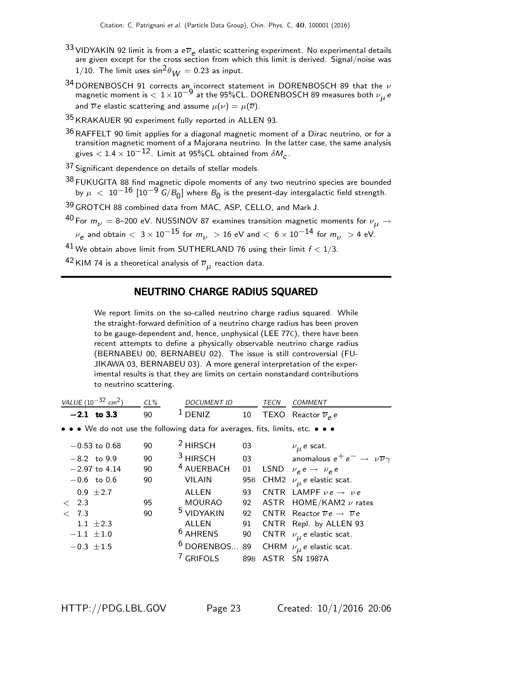- 33 VIDYAKIN 92 limit is from a  $e\overline{\nu}_e$  elastic scattering experiment. No experimental details are given except for the cross section from which this limit is derived. Signal/noise was 1/10. The limit uses  $\sin^2\theta_{\rm M}$  = 0.23 as input.
- $^{34}$  DORENBOSCH 91 corrects an incorrect statement in DORENBOSCH 89 that the  $\nu$ magnetic moment is  $< 1 \times 10^{-9}$  at the 95%CL. DORENBOSCH 89 measures both  $\nu_{\mu}$  e and  $\overline{\nu} e$  elastic scattering and assume  $\mu(\nu) = \mu(\overline{\nu})$ .
- 35 KRAKAUER 90 experiment fully reported in ALLEN 93.
- $36$  RAFFELT 90 limit applies for a diagonal magnetic moment of a Dirac neutrino, or for a transition magnetic moment of a Majorana neutrino. In the latter case, the same analysis gives  $<$  1.4  $\times$  10 $^{-12}$ . Limit at 95%CL obtained from  $\delta M_{_{\rm C}}$ .

37 Significant dependence on details of stellar models.

 $38$  FUKUGITA 88 find magnetic dipole moments of any two neutrino species are bounded by  $\mu~<~10^{-16}~[10^{-9}~{\text{G}}/{\text{B}}_{0}]$  where  ${\text{B}}_{0}$  is the present-day intergalactic field strength.

39 GROTCH 88 combined data from MAC, ASP, CELLO, and Mark J.

<sup>40</sup> For  $m_{\nu}$  = 8–200 eV. NUSSINOV 87 examines transition magnetic moments for  $\nu_{\mu}$   $\rightarrow$  $\nu_{\mathsf{e}}$  and obtain  $<\,3\,{\times}\,10^{-15}$  for  $m_{\nu}\,>\,$  16 eV and  $<\,6\,{\times}\,10^{-14}$  for  $m_{\nu}\,>\,$  4 eV.

<sup>41</sup> We obtain above limit from SUTHERLAND 76 using their limit  $f < 1/3$ .

 $^{42}$ KIM 74 is a theoretical analysis of  $\overline{\nu}_{\mu}$  reaction data.

#### NEUTRINO CHARGE RADIUS SQUARED

We report limits on the so-called neutrino charge radius squared. While the straight-forward definition of a neutrino charge radius has been proven to be gauge-dependent and, hence, unphysical (LEE 77C), there have been recent attempts to define a physically observable neutrino charge radius (BERNABEU 00, BERNABEU 02). The issue is still controversial (FU-JIKAWA 03, BERNABEU 03). A more general interpretation of the experimental results is that they are limits on certain nonstandard contributions to neutrino scattering.

| VALUE $(10^{-32}$ cm <sup>2</sup> )                                           | $CL\%$ | <b>DOCUMENT ID</b>    |     | TECN | <b>COMMENT</b>                                             |
|-------------------------------------------------------------------------------|--------|-----------------------|-----|------|------------------------------------------------------------|
| $-2.1$ to 3.3                                                                 | 90     | 1<br><b>DENIZ</b>     | 10  |      | TEXO Reactor $\overline{\nu}_e e$                          |
| • • • We do not use the following data for averages, fits, limits, etc. • • • |        |                       |     |      |                                                            |
| $-0.53$ to 0.68                                                               | 90     | <sup>2</sup> HIRSCH   | 03  |      | $\nu_{\mu}$ e scat.                                        |
| $-8.2$ to 9.9                                                                 | 90     | <sup>3</sup> HIRSCH   | 03  |      | anomalous $e^+e^- \rightarrow \nu \overline{\nu} \gamma$   |
| $-2.97$ to 4.14                                                               | 90     | <sup>4</sup> AUERBACH | 01  |      | LSND $\nu_e e \rightarrow \nu_e e$                         |
| $-0.6$ to 0.6                                                                 | 90     | <b>VILAIN</b>         | 95B |      | CHM2 $\nu_{\mu}$ e elastic scat.                           |
| $0.9 \pm 2.7$                                                                 |        | ALLEN                 | 93  |      | CNTR LAMPF $\nu e \rightarrow \nu e$                       |
| 2.3<br>$\lt$                                                                  | 95     | <b>MOURAO</b>         | 92  |      | ASTR $HOME/KAM2 \nu$ rates                                 |
| 7.3<br>$\lt$                                                                  | 90     | <sup>5</sup> VIDYAKIN | 92  |      | CNTR Reactor $\overline{\nu}e \rightarrow \overline{\nu}e$ |
| 1.1 $\pm 2.3$                                                                 |        | ALLEN                 | 91  |      | CNTR Repl. by ALLEN 93                                     |
| $-1.1 \pm 1.0$                                                                |        | <sup>6</sup> AHRENS   | 90  |      | CNTR $\nu_{\mu}$ e elastic scat.                           |
| $-0.3 \pm 1.5$                                                                |        | $6$ DORENBOS 89       |     |      | CHRM $\nu_{\mu}$ e elastic scat.                           |
|                                                                               |        | <sup>7</sup> GRIFOLS  |     |      | 89B ASTR SN 1987A                                          |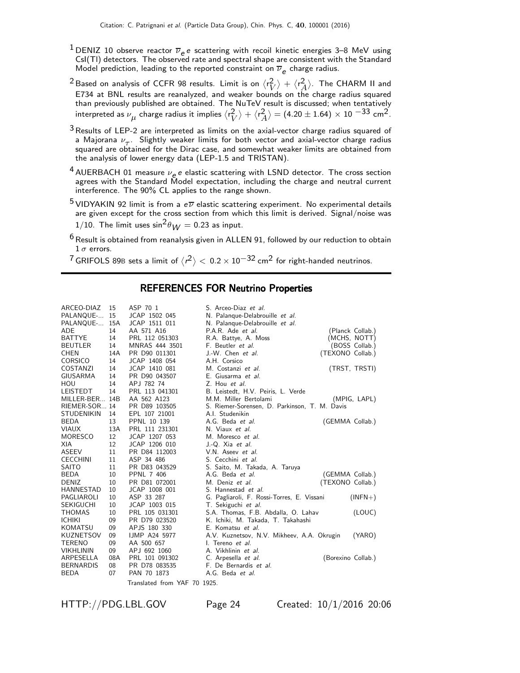- <sup>1</sup> DENIZ 10 observe reactor  $\overline{\nu}_e e$  scattering with recoil kinetic energies 3–8 MeV using CsI(Tl) detectors. The observed rate and spectral shape are consistent with the Standard Model prediction, leading to the reported constraint on  $\overline{\nu}_e$  charge radius.
- $^2$ Based on analysis of CCFR 98 results. Limit is on  $\langle r_\mathrm{L}^2 \rangle$  $\langle r \rangle + \langle r^2 \rangle$  $\left\langle\begin{smallmatrix}Z\ A\end{smallmatrix}\right\rangle$ . The CHARM II and E734 at BNL results are reanalyzed, and weaker bounds on the charge radius squared than previously published are obtained. The NuTeV result is discussed; when tentatively interpreted as  $\nu_{\boldsymbol{\mu}}$  charge radius it implies  $\langle$ r $_{V}^2$  $\binom{2}{V}$  +  $\langle r_{A}^{2}$  $\left\langle \frac{2}{A} \right\rangle = (4.20 \pm 1.64) \times 10^{-33}$  cm<sup>2</sup>.
- $3$  Results of LEP-2 are interpreted as limits on the axial-vector charge radius squared of a Majorana  $\nu_{\tau}$ . Slightly weaker limits for both vector and axial-vector charge radius squared are obtained for the Dirac case, and somewhat weaker limits are obtained from the analysis of lower energy data (LEP-1.5 and TRISTAN).
- $^4$  AUERBACH 01 measure  $\nu_e e$  elastic scattering with LSND detector. The cross section agrees with the Standard Model expectation, including the charge and neutral current interference. The 90% CL applies to the range shown.
- <sup>5</sup> VIDYAKIN 92 limit is from a  $e\overline{\nu}$  elastic scattering experiment. No experimental details are given except for the cross section from which this limit is derived. Signal/noise was 1/10. The limit uses  $\sin^2 \theta_W = 0.23$  as input.
- $6$  Result is obtained from reanalysis given in ALLEN 91, followed by our reduction to obtain  $1 \sigma$  errors.

 $^7$ GRIFOLS 89B sets a limit of  $\langle r^2 \rangle < 0.2 \times 10^{-32}$  cm $^2$  for right-handed neutrinos.

#### REFERENCES FOR Neutrino Properties

| ARCEO-DIAZ        | 15  | ASP 70 1             | S. Arceo-Diaz et al.                          |                    |
|-------------------|-----|----------------------|-----------------------------------------------|--------------------|
| PALANQUE-         | 15  | JCAP 1502 045        | N. Palanque-Delabrouille et al.               |                    |
| PALANQUE-         | 15A | JCAP 1511 011        | N. Palanque-Delabrouille et al.               |                    |
| ADE               | 14  | AA 571 A16           | P.A.R. Ade et al.                             | (Planck Collab.)   |
| <b>BATTYE</b>     | 14  | PRL 112 051303       | R.A. Battye, A. Moss                          | (MCHS, NOTT)       |
| <b>BEUTLER</b>    | 14  | MNRAS 444 3501       | F. Beutler et al.                             | (BOSS Collab.)     |
| <b>CHEN</b>       | 14A | PR D90 011301        | J.-W. Chen et al.                             | (TEXONO Collab.)   |
| <b>CORSICO</b>    | 14  | JCAP 1408 054        | A.H. Corsico                                  |                    |
| COSTANZI          | 14  | JCAP 1410 081        | M. Costanzi et al.                            | (TRST, TRSTI)      |
| GIUSARMA          | 14  | PR D90 043507        | E. Giusarma et al.                            |                    |
| HOU               | 14  | APJ 782 74           | Z. Hou et al.                                 |                    |
| <b>LEISTEDT</b>   | 14  | PRL 113 041301       | B. Leistedt, H.V. Peiris, L. Verde            |                    |
| MILLER-BER        | 14B | AA 562 A123          | M.M. Miller Bertolami                         | (MPIG, LAPL)       |
| RIEMER-SOR 14     |     | PR D89 103505        | S. Riemer-Sorensen, D. Parkinson, T. M. Davis |                    |
| <b>STUDENIKIN</b> | 14  | EPL 107 21001        | A.I. Studenikin                               |                    |
| <b>BEDA</b>       | 13  | PPNL 10 139          | A.G. Beda et al.                              | (GEMMA Collab.)    |
| <b>VIAUX</b>      | 13A | PRL 111 231301       | N. Viaux et al.                               |                    |
| MORESCO           | 12  | JCAP 1207 053        | M. Moresco et al.                             |                    |
| XIA               | 12  | JCAP 1206 010        | J.-Q. Xia et al.                              |                    |
| ASEEV             | 11  | PR D84 112003        | V.N. Aseev et al.                             |                    |
| <b>CECCHINI</b>   | 11  | ASP 34 486           | S. Cecchini et al.                            |                    |
| <b>SAITO</b>      | 11  | PR D83 043529        | S. Saito, M. Takada, A. Taruya                |                    |
| <b>BEDA</b>       | 10  | <b>PPNL 7 406</b>    | A.G. Beda et al.                              | (GEMMA Collab.)    |
| <b>DENIZ</b>      | 10  | PR D81 072001        | M. Deniz et al.                               | (TEXONO Collab.)   |
| HANNESTAD         | 10  | JCAP 1008 001        | S. Hannestad <i>et al.</i>                    |                    |
| PAGLIAROLI        | 10  | ASP 33 287           | G. Pagliaroli, F. Rossi-Torres, E. Vissani    | $(INFN+)$          |
| <b>SEKIGUCHI</b>  | 10  | JCAP 1003 015        | T. Sekiguchi et al.                           |                    |
| <b>THOMAS</b>     | 10  | PRL 105 031301       | S.A. Thomas, F.B. Abdalla, O. Lahav           | (LOUC)             |
| <b>ICHIKI</b>     | 09  | PR D79 023520        | K. Ichiki, M. Takada, T. Takahashi            |                    |
| <b>KOMATSU</b>    | 09  | APJS 180 330         | E. Komatsu et al.                             |                    |
| <b>KUZNETSOV</b>  | 09  | <b>IJMP A24 5977</b> | A.V. Kuznetsov, N.V. Mikheev, A.A. Okrugin    | (YARO)             |
| <b>TERENO</b>     | 09  | AA 500 657           | I. Tereno et al.                              |                    |
| <b>VIKHLININ</b>  | 09  | APJ 692 1060         | A. Vikhlinin et al.                           |                    |
| ARPESELLA         | 08A | PRL 101 091302       | C. Arpesella et al.                           | (Borexino Collab.) |
| <b>BERNARDIS</b>  | 08  | PR D78 083535        | F. De Bernardis et al.                        |                    |
| <b>BEDA</b>       | 07  | PAN 70 1873          | A.G. Beda et al.                              |                    |
|                   |     |                      |                                               |                    |

Translated from YAF 70 1925.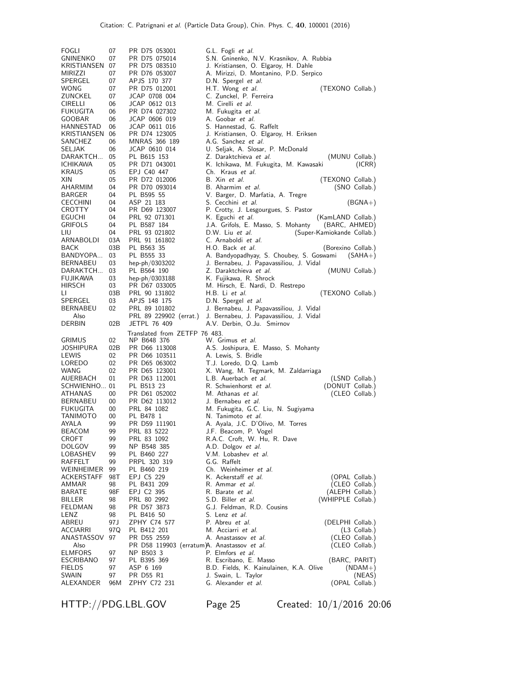| <b>FOGLI</b><br>GNINENKO<br>KRISTIANSEN<br>MIRIZZI<br>SPERGEL<br>WONG<br>ZUNCKEL<br><b>CIRELLI</b><br><b>FUKUGITA</b> | 07<br>07<br>- 07<br>07<br>07<br>07<br>07<br>06<br>06 | PR D75 053001<br>PR D75 075014<br>PR D75 083510<br>PR D76 053007<br>APJS 170 377<br>PR D75 012001<br>JCAP 0708 004<br>JCAP 0612 013<br>PR D74 027302 | G.L. Fogli et al.<br>S.N. Gninenko, N.V. Krasnikov, A. Rubbia<br>J. Kristiansen, O. Elgaroy, H. Dahle<br>A. Mirizzi, D. Montanino, P.D. Serpico<br>D.N. Spergel et al.<br>H.T. Wong et al.<br>(TEXONO Collab.)<br>C. Zunckel, P. Ferreira<br>M. Cirelli <i>et al.</i><br>M. Fukugita <i>et al.</i> |
|-----------------------------------------------------------------------------------------------------------------------|------------------------------------------------------|------------------------------------------------------------------------------------------------------------------------------------------------------|----------------------------------------------------------------------------------------------------------------------------------------------------------------------------------------------------------------------------------------------------------------------------------------------------|
| GOOBAR<br>HANNESTAD<br>KRISTIANSEN<br>SANCHEZ<br>SELJAK                                                               | 06<br>06<br>06<br>06<br>06                           | JCAP 0606 019<br>JCAP 0611 016<br>PR D74 123005<br>MNRAS 366 189<br>JCAP 0610 014                                                                    | A. Goobar et al.<br>S. Hannestad, G. Raffelt<br>J. Kristiansen, O. Elgaroy, H. Eriksen<br>A.G. Sanchez et al.<br>U. Seljak, A. Slosar, P. McDonald                                                                                                                                                 |
| DARAKTCH<br><b>ICHIKAWA</b><br><b>KRAUS</b><br>XIN                                                                    | 05<br>05<br>05<br>05                                 | PL B615 153<br>PR D71 043001<br>EPJ C40 447<br>PR D72 012006                                                                                         | Z. Daraktchieva <i>et al.</i><br>(MUNU Collab.)<br>K. Ichikawa, M. Fukugita, M. Kawasaki<br>(ICRR)<br>Ch. Kraus et al.<br>B. Xin et al.<br>(TEXONO Collab.)                                                                                                                                        |
| AHARMIM<br>BARGER<br><b>CECCHINI</b><br>CROTTY                                                                        | 04<br>04<br>04<br>04                                 | PR D70 093014<br>PL B595 55<br>ASP 21 183<br>PR D69 123007                                                                                           | B. Aharmim et al.<br>(SNO Collab.)<br>V. Barger, D. Marfatia, A. Tregre<br>S. Cecchini <i>et al.</i><br>$(BGNA+)$<br>P. Crotty, J. Lesgourgues, S. Pastor                                                                                                                                          |
| EGUCHI<br>GRIFOLS<br>LIU<br>ARNABOLDI                                                                                 | 04<br>04<br>04<br>03A                                | PRL 92 071301<br>PL B587 184<br>PRL 93 021802<br>PRL 91 161802                                                                                       | K. Eguchi <i>et al.</i><br>(KamLAND Collab.)<br>J.A. Grifols, E. Masso, S. Mohanty<br>(BARC, AHMED)<br>(Super-Kamiokande Collab.)<br>D.W. Liu et al.<br>C. Arnaboldi et al.                                                                                                                        |
| BACK<br>BANDYOPA<br>BERNABEU<br>DARAKTCH                                                                              | 03B<br>03<br>03<br>03                                | PL B563 35<br>PL B555 33<br>hep-ph/0303202<br>PL B564 190                                                                                            | H.O. Back et al.<br>(Borexino Collab.)<br>A. Bandyopadhyay, S. Choubey, S. Goswami<br>$(SAHA+)$<br>J. Bernabeu, J. Papavassiliou, J. Vidal<br>Z. Daraktchieva et al.<br>(MUNU Collab.)                                                                                                             |
| FUJIKAWA<br><b>HIRSCH</b><br>LI.<br>SPERGEL                                                                           | 03<br>03<br>03B<br>03                                | hep-ph/0303188<br>PR D67 033005<br>PRL 90 131802<br>APJS 148 175                                                                                     | K. Fujikawa, R. Shrock<br>M. Hirsch, E. Nardi, D. Restrepo<br>H.B. Li et al.<br>(TEXONO Collab.)<br>D.N. Spergel et al.                                                                                                                                                                            |
| BERNABEU<br>Also<br>DERBIN                                                                                            | 02<br>02B                                            | PRL 89 101802<br>PRL 89 229902 (errat.)<br><b>JETPL 76 409</b>                                                                                       | J. Bernabeu, J. Papavassiliou, J. Vidal<br>J. Bernabeu, J. Papavassiliou, J. Vidal<br>A.V. Derbin, O.Ju. Smirnov                                                                                                                                                                                   |
| <b>GRIMUS</b><br>JOSHIPURA<br>LEWIS<br>LOREDO                                                                         | 02<br>02B<br>02<br>02                                | Translated from ZETFP 76 483.<br>NP B648 376<br>PR D66 113008<br>PR D66 103511<br>PR D65 063002                                                      | W. Grimus et al.<br>A.S. Joshipura, E. Masso, S. Mohanty<br>A. Lewis, S. Bridle<br>T.J. Loredo, D.Q. Lamb                                                                                                                                                                                          |
| WANG<br>AUERBACH<br>SCHWIENHO 01<br>ATHANAS                                                                           | 02<br>01<br>00                                       | PR D65 123001<br>PR D63 112001<br>PL B513 23<br>PR D61 052002                                                                                        | X. Wang, M. Tegmark, M. Zaldarriaga<br>L.B. Auerbach et al.<br>(LSND Collab.)<br>(DONUT Collab.)<br>R. Schwienhorst et al.<br>M. Athanas et al.<br>(CLEO Collab.)                                                                                                                                  |
| BERNABEU<br>FUKUGITA<br>TANIMOTO<br><b>AYALA</b>                                                                      | 00<br>00<br>00<br>99                                 | PR D62 113012<br>PRL 84 1082<br>PL B478 1<br>PR D59 111901                                                                                           | J. Bernabeu <i>et al.</i><br>M. Fukugita, G.C. Liu, N. Sugiyama<br>N. Tanimoto et al.<br>A. Ayala, J.C. D'Olivo, M. Torres                                                                                                                                                                         |
| BEACOM<br>CROFT<br><b>DOLGOV</b><br>LOBASHEV<br>RAFFELT                                                               | 99<br>99<br>99<br>99<br>99                           | PRL 83 5222<br>PRL 83 1092<br>NP B548 385<br>PL B460 227<br>PRPL 320 319                                                                             | J.F. Beacom, P. Vogel<br>R.A.C. Croft, W. Hu, R. Dave<br>A.D. Dolgov et al.<br>V.M. Lobashev et al.<br>G.G. Raffelt                                                                                                                                                                                |
| WEINHEIMER<br>ACKERSTAFF<br>AMMAR<br>BARATE<br>BILLER                                                                 | 99<br>98T<br>98<br>98F<br>98                         | PL B460 219<br>EPJ C5 229<br>PL B431 209<br>EPJ C2 395<br>PRL 80 2992                                                                                | Ch. Weinheimer et al.<br>K. Ackerstaff et al.<br>(OPAL Collab.)<br>R. Ammar <i>et al.</i><br>(CLEO Collab.)<br>R. Barate <i>et al.</i><br>(ALEPH Collab.)<br>S.D. Biller et al.<br>(WHIPPLE Collab.)<br>G.J. Feldman, R.D. Cousins                                                                 |
| FELDMAN<br>LENZ<br>ABREU<br>ACCIARRI<br>ANASTASSOV<br>Also                                                            | 98<br>98<br>97 J<br>97Q<br>97                        | PR D57 3873<br>PL B416 50<br>ZPHY C74 577<br>PL B412 201<br>PR D55 2559                                                                              | S. Lenz <i>et al.</i><br>P. Abreu <i>et al.</i><br>(DELPHI Collab.)<br>M. Acciarri <i>et al.</i><br>(L3 Collab.)<br>A. Anastassov et al.<br>(CLEO Collab.)                                                                                                                                         |
| <b>ELMFORS</b><br>ESCRIBANO<br><b>FIELDS</b><br>SWAIN<br>ALEXANDER                                                    | 97<br>97<br>97<br>97<br>96M                          | PR D58 119903 (erratum)A. Anastassov et al.<br>NP B503 3<br>PL B395 369<br>ASP 6 169<br>PR D55 R1<br>ZPHY C72 231                                    | (CLEO Collab.)<br>P. Elmfors et al.<br>R. Escribano, E. Masso<br>(BARC, PARIT)<br>B.D. Fields, K. Kainulainen, K.A. Olive<br>$(NDAM+)$<br>J. Swain, L. Taylor<br>(NEAS)<br>G. Alexander et al.<br>(OPAL Collab.)                                                                                   |

HTTP://PDG.LBL.GOV Page 25 Created: 10/1/2016 20:06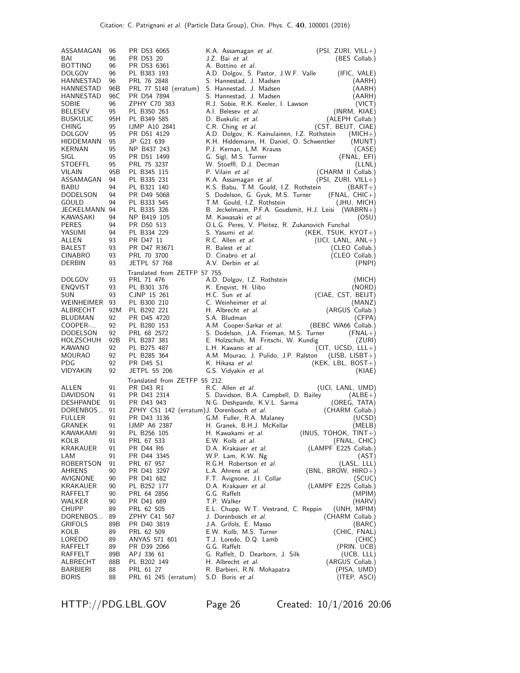| ASSAMAGAN                  | 96       | PR D53 6065                                 | K.A. Assamagan <i>et al.</i>                                                     | $(PSI, ZURI, VILL+)$                |
|----------------------------|----------|---------------------------------------------|----------------------------------------------------------------------------------|-------------------------------------|
| BAI                        | 96       | PR D53 20                                   | J.Z. Bai et al.                                                                  | (BES Collab.)                       |
| <b>BOTTINO</b>             | 96       | PR D53 6361                                 | A. Bottino et al.                                                                |                                     |
| <b>DOLGOV</b>              | 96       | PL B383 193                                 | A.D. Dolgov, S. Pastor, J.W.F. Valle                                             | (IFIC, VALE)                        |
| HANNESTAD                  | 96       | PRL 76 2848                                 | S. Hannestad, J. Madsen                                                          | (AARH)                              |
| HANNESTAD                  | 96B      | PRL 77 5148 (erratum)                       | S. Hannestad, J. Madsen                                                          | (AARH)                              |
| HANNESTAD                  | 96C      | PR D54 7894                                 | S. Hannestad, J. Madsen                                                          | (AARH)                              |
| SOBIE                      | 96       | ZPHY C70 383                                | R.J. Sobie, R.K. Keeler, I. Lawson                                               | (VICT)                              |
| <b>BELESEV</b>             | 95       | PL B350 263                                 | A.I. Belesev et al.                                                              | (INRM, KIAE)                        |
| <b>BUSKULIC</b>            | 95H      | PL B349 585                                 | D. Buskulic et al.                                                               | (ALEPH Collab.)                     |
| CHING                      | 95       | <b>IJMP A10 2841</b>                        | C.R. Ching et al.                                                                | (CST, BEIJT, CIAE)                  |
| <b>DOLGOV</b>              | 95       | PR D51 4129                                 | A.D. Dolgov, K. Kainulainen, I.Z. Rothstein                                      | $(MICH+)$                           |
| HIDDEMANN                  | 95       | JP G21 639                                  | K.H. Hiddemann, H. Daniel, O. Schwentker                                         | (MUNT)                              |
| KERNAN                     | 95       | NP B437 243                                 | P.J. Kernan, L.M. Krauss                                                         | (CASE)                              |
| SIGL                       | 95       | PR D51 1499                                 | G. Sigl, M.S. Turner                                                             | (FNAL, EFI)                         |
| STOEFFL                    | 95       | PRL 75 3237                                 | W. Stoeffl, D.J. Decman                                                          | (LLNL)                              |
| VILAIN                     | 95B      | PL B345 115                                 | P. Vilain et al.                                                                 | (CHARM II Collab.)                  |
| ASSAMAGAN                  | 94       | PL B335 231                                 | K.A. Assamagan et al.                                                            | (PSI, ZURI, VILL+)                  |
| BABU                       | 94       | PL B321 140                                 | K.S. Babu, T.M. Gould, I.Z. Rothstein                                            | $(BART+)$                           |
| <b>DODELSON</b>            | 94       | PR D49 5068                                 | S. Dodelson, G. Gyuk, M.S. Turner                                                | $(FNAL, CHIC+)$                     |
| GOULD                      | 94       | PL B333 545<br>PL B335 326                  | T.M. Gould, I.Z. Rothstein                                                       | (JHU, MICH)                         |
| JECKELMANN 94<br>KAWASAKI  | 94       | NP B419 105                                 | B. Jeckelmann, P.F.A. Goudsmit, H.J. Leisi (WABRN+)<br>M. Kawasaki <i>et al.</i> | (OSU)                               |
| <b>PERES</b>               | 94       | PR D50 513                                  | O.L.G. Peres, V. Pleitez, R. Zukanovich Funchal                                  |                                     |
| YASUMI                     | 94       | PL B334 229                                 | S. Yasumi et al.                                                                 | $(KEK, TSUK, KYOT+)$                |
| ALLEN                      | 93       | PR D47 11                                   | R.C. Allen et al.                                                                | $(UCI, LANL, ANL+)$                 |
| BALEST                     | 93       | PR D47 R3671                                | R. Balest et al.                                                                 | (CLEO Collab.)                      |
| <b>CINABRO</b>             | 93       | PRL 70 3700                                 | D. Cinabro et al.                                                                | (CLEO Collab.)                      |
| DERBIN                     | 93       | JETPL 57 768                                | A.V. Derbin et al.                                                               | (PNPI)                              |
|                            |          | Translated from ZETFP 57 755.               |                                                                                  |                                     |
| <b>DOLGOV</b>              | 93       | PRL 71 476                                  | A.D. Dolgov, I.Z. Rothstein                                                      | (MICH)                              |
| <b>ENQVIST</b>             | 93       | PL B301 376                                 | K. Enqvist, H. Uibo                                                              | (NORD)                              |
| SUN                        | 93       | CJNP 15 261                                 | H.C. Sun et al.                                                                  | (CIAE, CST, BEIJT)                  |
| WEINHEIMER 93              |          | PL B300 210                                 | C. Weinheimer et al.                                                             | (MANZ)                              |
| ALBRECHT                   | 92M      | PL B292 221                                 | H. Albrecht et al.                                                               | (ARGUS Collab.)                     |
| BLUDMAN                    | 92       | PR D45 4720                                 | S.A. Bludman                                                                     | (CFPA)                              |
| COOPER-                    | 92       | PL B280 153                                 | A.M. Cooper-Sarkar <i>et al.</i>                                                 | (BEBC WA66 Collab.)                 |
| DODELSON                   | 92       | PRL 68 2572                                 | S. Dodelson, J.A. Frieman, M.S. Turner                                           | $(FNAL+)$                           |
| HOLZSCHUH                  | 92B      | PL B287 381                                 | E. Holzschuh, M. Fritschi, W. Kundig                                             | (ZURI)                              |
| KAWANO                     | 92       | PL B275 487                                 | L.H. Kawano et al.                                                               | $(CIT, UCSD, LLL+)$                 |
| MOURAO                     | 92       | PL B285 364                                 | A.M. Mourao, J. Pulido, J.P. Ralston                                             | (LISB, LISBT+)                      |
| PDG                        | 92       | PR D45 S1                                   | K. Hikasa <i>et al.</i>                                                          | $(KEK, LBL, BOST+)$                 |
| VIDYAKIN                   | 92       | JETPL 55 206                                | G.S. Vidyakin et al.                                                             | (KIAE)                              |
|                            |          | Translated from ZETFP 55 212.               |                                                                                  |                                     |
| ALLEN                      | 91       | PR D43 R1                                   | R.C. Allen <i>et al.</i>                                                         | (UCI, LANL, UMD)                    |
| DAVIDSON                   | 91       | PR D43 2314                                 | S. Davidson, B.A. Campbell, D. Bailey                                            | $(ALBE+)$                           |
| <b>DESHPANDE</b>           | 91       | PR D43 943                                  | N.G. Deshpande, K.V.L. Sarma                                                     | (OREG, TATA)                        |
| DORENBOS                   | 91       | ZPHY C51 142 (erratum) J. Dorenbosch et al. |                                                                                  | (CHARM Collab.)                     |
| FULLER                     | 91       | PR D43 3136                                 | G.M. Fuller, R.A. Malaney                                                        | (UCSD)                              |
| <b>GRANEK</b>              | 91       | <b>IJMP A6 2387</b>                         | H. Granek, B.H.J. McKellar                                                       | (MELB)                              |
| KAWAKAMI                   | 91       | PL B256 105                                 | H. Kawakami et al.                                                               | $(INUS, TOHOK, TINT+)$              |
| KOLB                       | 91       | PRL 67 533                                  | E.W. Kolb et al.                                                                 | (FNAL, CHIC)                        |
| KRAKAUER                   | 91       | PR D44 R6                                   | D.A. Krakauer et al.                                                             | (LAMPF E225 Collab.)                |
| LAM                        | 91       | PR D44 3345                                 | W.P. Lam, K.W. Ng                                                                | (ASI)                               |
| <b>ROBERTSON</b><br>AHRENS | 91<br>90 | PRL 67 957<br>PR D41 3297                   | R.G.H. Robertson et al.<br>L.A. Ahrens <i>et al.</i>                             | (LASL, LLL)<br>$(BNL, BROW, HIRO+)$ |
| AVIGNONE                   | 90       | PR D41 682                                  | F.T. Avignone, J.I. Collar                                                       | (SCUC)                              |
| KRAKAUER                   | 90       | PL B252 177                                 | D.A. Krakauer et al.                                                             | (LAMPF E225 Collab.)                |
| RAFFELT                    | 90       | PRL 64 2856                                 | G.G. Raffelt                                                                     | (MPIM)                              |
| WALKER                     | 90       | PR D41 689                                  | T.P. Walker                                                                      | (HARV)                              |
| CHUPP                      | 89       | PRL 62 505                                  | E.L. Chupp, W.T. Vestrand, C. Reppin                                             | (UNH, MPIM)                         |
| DORENBOS                   | 89       | ZPHY C41 567                                | J. Dorenbosch et al.                                                             | (CHARM Collab.)                     |
| GRIFOLS                    | 89B      | PR D40 3819                                 | J.A. Grifols, E. Masso                                                           | (BARC)                              |
| KOLB                       | 89       | PRL 62 509                                  | E.W. Kolb, M.S. Turner                                                           | (CHIC, FNAL)                        |
| LOREDO                     | 89       | ANYAS 571 601                               | T.J. Loredo, D.Q. Lamb                                                           | (CHIC)                              |
| RAFFELT                    | 89       | PR D39 2066                                 | G.G. Raffelt                                                                     | (PRIN, UCB)                         |
| RAFFELT                    | 89B      | APJ 336 61                                  | G. Raffelt, D. Dearborn, J. Silk                                                 | (UCB, LLL)                          |
| ALBRECHT                   | 88B      | PL B202 149                                 | H. Albrecht <i>et al.</i>                                                        | (ARGUS Collab.)                     |
| BARBIERI                   | 88       | PRL 61 27                                   | R. Barbieri, R.N. Mohapatra                                                      | (PISA, UMD)                         |
| <b>BORIS</b>               | 88       | PRL 61 245 (erratum)                        | S.D. Boris et al.                                                                | (ITEP, ASCI)                        |

HTTP://PDG.LBL.GOV Page 26 Created: 10/1/2016 20:06